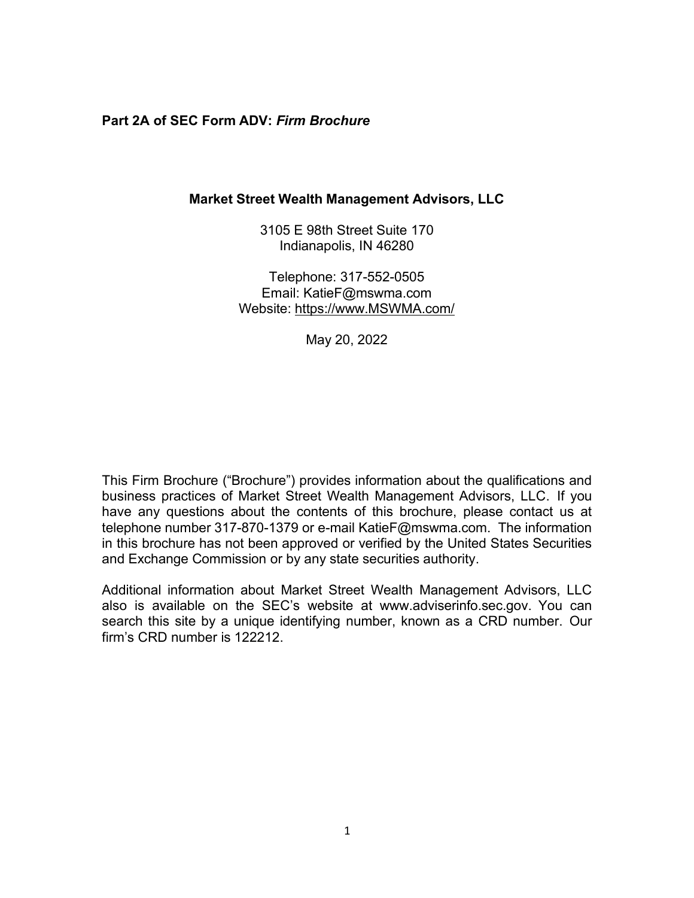### **Part 2A of SEC Form ADV:** *Firm Brochure*

### **Market Street Wealth Management Advisors, LLC**

3105 E 98th Street Suite 170 Indianapolis, IN 46280

Telephone: 317-552-0505 Email: [KatieF@mswma.com](mailto:KatieF@mswma.com) Website: [https://www.MSWMA.com/](https://www.mswma.com/)

May 20, 2022

This Firm Brochure ("Brochure") provides information about the qualifications and business practices of Market Street Wealth Management Advisors, LLC. If you have any questions about the contents of this brochure, please contact us at telephone number 317-870-1379 or e-mail [KatieF@mswma.com.](mailto:KatieF@mswma.com) The information in this brochure has not been approved or verified by the United States Securities and Exchange Commission or by any state securities authority.

Additional information about Market Street Wealth Management Advisors, LLC also is available on the SEC's website at [www.adviserinfo.sec.gov.](http://www.adviserinfo.sec.gov/) You can search this site by a unique identifying number, known as a CRD number. Our firm's CRD number is 122212.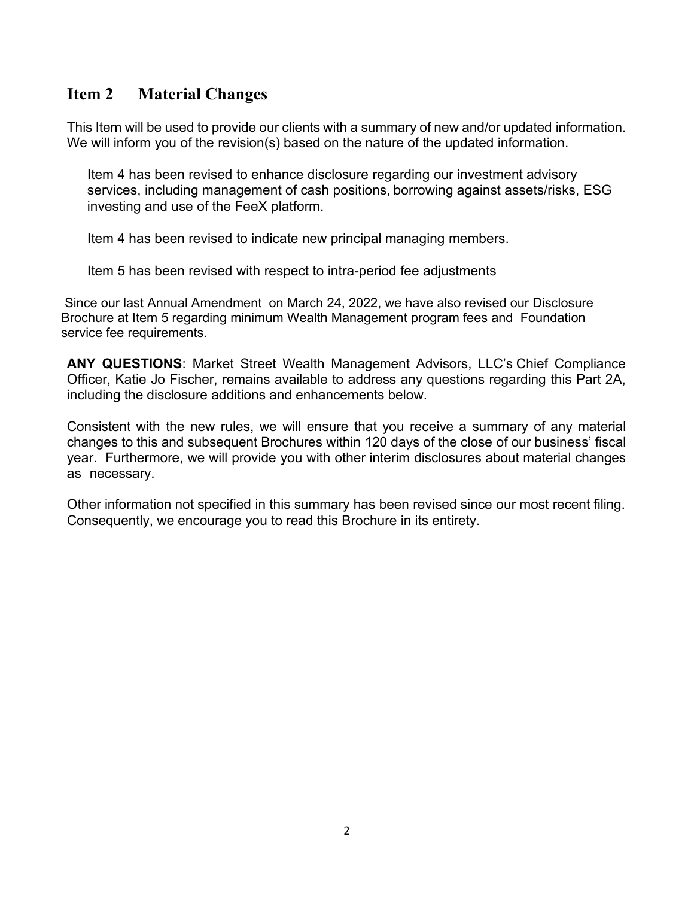### <span id="page-1-0"></span>**Item 2 Material Changes**

This Item will be used to provide our clients with a summary of new and/or updated information. We will inform you of the revision(s) based on the nature of the updated information.

Item 4 has been revised to enhance disclosure regarding our investment advisory services, including management of cash positions, borrowing against assets/risks, ESG investing and use of the FeeX platform.

Item 4 has been revised to indicate new principal managing members.

Item 5 has been revised with respect to intra-period fee adjustments

Since our last Annual Amendment on March 24, 2022, we have also revised our Disclosure Brochure at Item 5 regarding minimum Wealth Management program fees and Foundation service fee requirements.

**ANY QUESTIONS**: Market Street Wealth Management Advisors, LLC's Chief Compliance Officer, Katie Jo Fischer, remains available to address any questions regarding this Part 2A, including the disclosure additions and enhancements below.

Consistent with the new rules, we will ensure that you receive a summary of any material changes to this and subsequent Brochures within 120 days of the close of our business' fiscal year. Furthermore, we will provide you with other interim disclosures about material changes as necessary.

Other information not specified in this summary has been revised since our most recent filing. Consequently, we encourage you to read this Brochure in its entirety.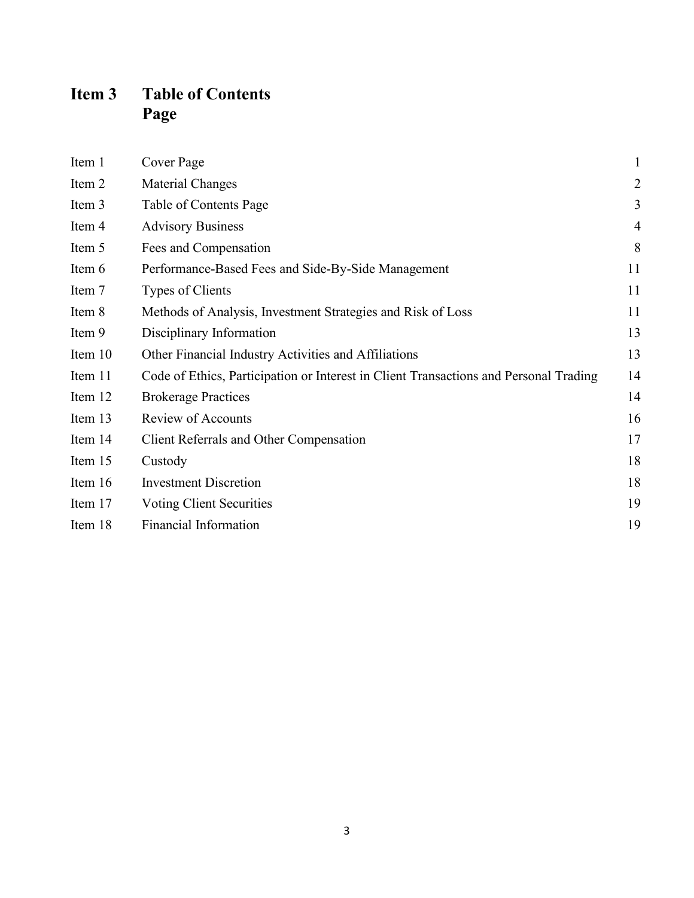# <span id="page-2-0"></span>**Item 3 Table of Contents Page**

| Item 1  | Cover Page                                                                            | $\mathbf{1}$   |
|---------|---------------------------------------------------------------------------------------|----------------|
| Item 2  | Material Changes                                                                      | $\overline{c}$ |
| Item 3  | Table of Contents Page                                                                | 3              |
| Item 4  | <b>Advisory Business</b>                                                              | $\overline{4}$ |
| Item 5  | Fees and Compensation                                                                 | 8              |
| Item 6  | Performance-Based Fees and Side-By-Side Management                                    | 11             |
| Item 7  | Types of Clients                                                                      | 11             |
| Item 8  | Methods of Analysis, Investment Strategies and Risk of Loss                           | 11             |
| Item 9  | Disciplinary Information                                                              | 13             |
| Item 10 | Other Financial Industry Activities and Affiliations                                  | 13             |
| Item 11 | Code of Ethics, Participation or Interest in Client Transactions and Personal Trading | 14             |
| Item 12 | <b>Brokerage Practices</b>                                                            | 14             |
| Item 13 | Review of Accounts                                                                    | 16             |
| Item 14 | Client Referrals and Other Compensation                                               | 17             |
| Item 15 | Custody                                                                               | 18             |
| Item 16 | <b>Investment Discretion</b>                                                          | 18             |
| Item 17 | Voting Client Securities                                                              | 19             |
| Item 18 | <b>Financial Information</b>                                                          | 19             |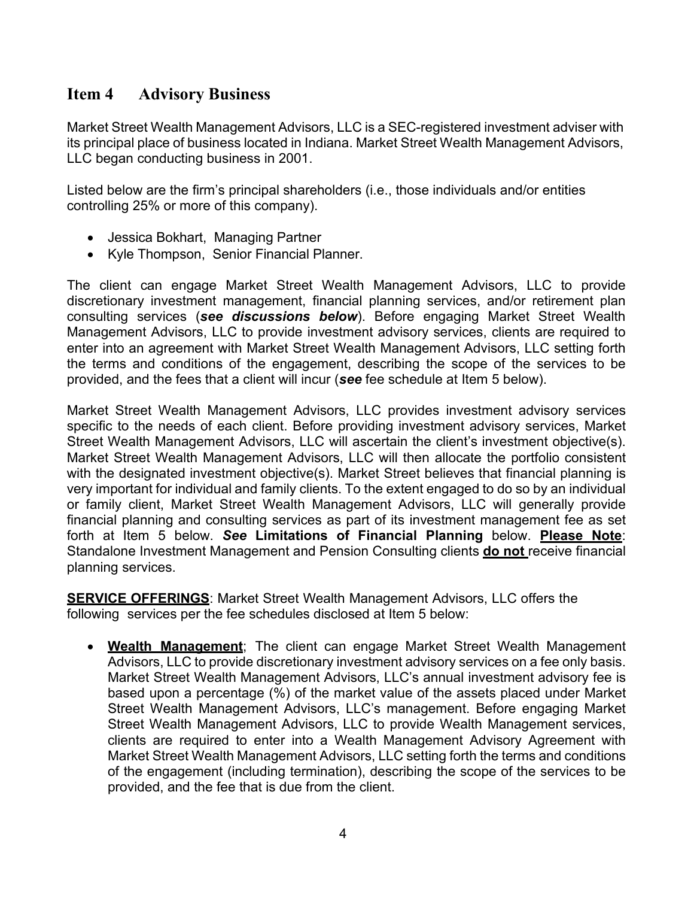### <span id="page-3-0"></span>**Item 4 Advisory Business**

Market Street Wealth Management Advisors, LLC is a SEC-registered investment adviser with its principal place of business located in Indiana. Market Street Wealth Management Advisors, LLC began conducting business in 2001.

Listed below are the firm's principal shareholders (i.e., those individuals and/or entities controlling 25% or more of this company).

- Jessica Bokhart, Managing Partner
- Kyle Thompson, Senior Financial Planner.

The client can engage Market Street Wealth Management Advisors, LLC to provide discretionary investment management, financial planning services, and/or retirement plan consulting services (*see discussions below*). Before engaging Market Street Wealth Management Advisors, LLC to provide investment advisory services, clients are required to enter into an agreement with Market Street Wealth Management Advisors, LLC setting forth the terms and conditions of the engagement, describing the scope of the services to be provided, and the fees that a client will incur (*see* fee schedule at Item 5 below).

Market Street Wealth Management Advisors, LLC provides investment advisory services specific to the needs of each client. Before providing investment advisory services, Market Street Wealth Management Advisors, LLC will ascertain the client's investment objective(s). Market Street Wealth Management Advisors, LLC will then allocate the portfolio consistent with the designated investment objective(s). Market Street believes that financial planning is very important for individual and family clients. To the extent engaged to do so by an individual or family client, Market Street Wealth Management Advisors, LLC will generally provide financial planning and consulting services as part of its investment management fee as set forth at Item 5 below. *See* **Limitations of Financial Planning** below. **Please Note**: Standalone Investment Management and Pension Consulting clients **do not** receive financial planning services.

**SERVICE OFFERINGS**: Market Street Wealth Management Advisors, LLC offers the following services per the fee schedules disclosed at Item 5 below:

• **Wealth Management**; The client can engage Market Street Wealth Management Advisors, LLC to provide discretionary investment advisory services on a fee only basis. Market Street Wealth Management Advisors, LLC's annual investment advisory fee is based upon a percentage (%) of the market value of the assets placed under Market Street Wealth Management Advisors, LLC's management. Before engaging Market Street Wealth Management Advisors, LLC to provide Wealth Management services, clients are required to enter into a Wealth Management Advisory Agreement with Market Street Wealth Management Advisors, LLC setting forth the terms and conditions of the engagement (including termination), describing the scope of the services to be provided, and the fee that is due from the client.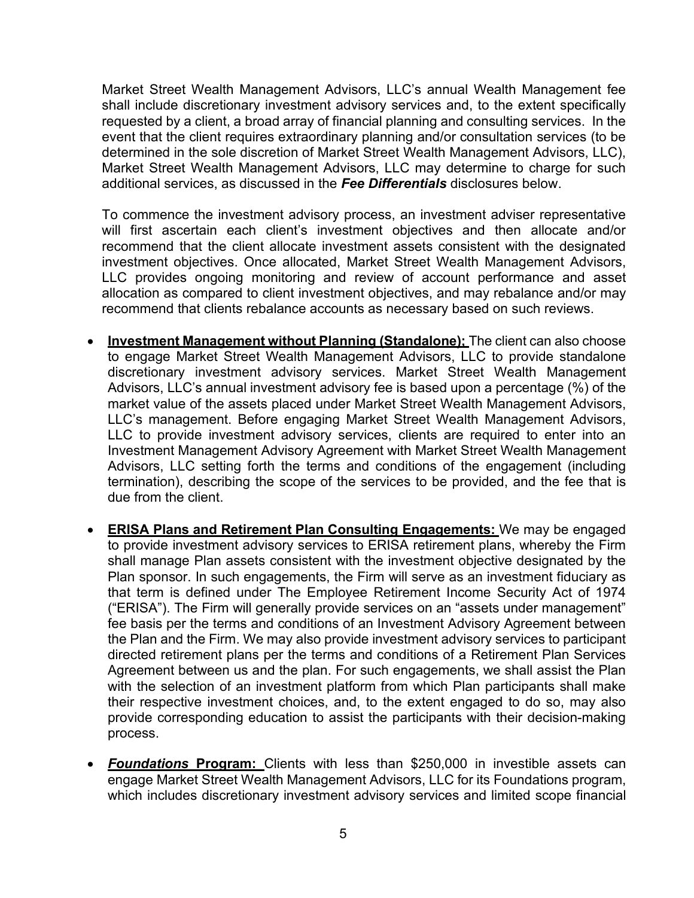Market Street Wealth Management Advisors, LLC's annual Wealth Management fee shall include discretionary investment advisory services and, to the extent specifically requested by a client, a broad array of financial planning and consulting services. In the event that the client requires extraordinary planning and/or consultation services (to be determined in the sole discretion of Market Street Wealth Management Advisors, LLC), Market Street Wealth Management Advisors, LLC may determine to charge for such additional services, as discussed in the *Fee Differentials* disclosures below.

To commence the investment advisory process, an investment adviser representative will first ascertain each client's investment objectives and then allocate and/or recommend that the client allocate investment assets consistent with the designated investment objectives. Once allocated, Market Street Wealth Management Advisors, LLC provides ongoing monitoring and review of account performance and asset allocation as compared to client investment objectives, and may rebalance and/or may recommend that clients rebalance accounts as necessary based on such reviews.

- **Investment Management without Planning (Standalone);** The client can also choose to engage Market Street Wealth Management Advisors, LLC to provide standalone discretionary investment advisory services. Market Street Wealth Management Advisors, LLC's annual investment advisory fee is based upon a percentage (%) of the market value of the assets placed under Market Street Wealth Management Advisors, LLC's management. Before engaging Market Street Wealth Management Advisors, LLC to provide investment advisory services, clients are required to enter into an Investment Management Advisory Agreement with Market Street Wealth Management Advisors, LLC setting forth the terms and conditions of the engagement (including termination), describing the scope of the services to be provided, and the fee that is due from the client.
- **ERISA Plans and Retirement Plan Consulting Engagements:** We may be engaged to provide investment advisory services to ERISA retirement plans, whereby the Firm shall manage Plan assets consistent with the investment objective designated by the Plan sponsor. In such engagements, the Firm will serve as an investment fiduciary as that term is defined under The Employee Retirement Income Security Act of 1974 ("ERISA"). The Firm will generally provide services on an "assets under management" fee basis per the terms and conditions of an Investment Advisory Agreement between the Plan and the Firm. We may also provide investment advisory services to participant directed retirement plans per the terms and conditions of a Retirement Plan Services Agreement between us and the plan. For such engagements, we shall assist the Plan with the selection of an investment platform from which Plan participants shall make their respective investment choices, and, to the extent engaged to do so, may also provide corresponding education to assist the participants with their decision-making process.
- *Foundations* **Program:** Clients with less than \$250,000 in investible assets can engage Market Street Wealth Management Advisors, LLC for its Foundations program, which includes discretionary investment advisory services and limited scope financial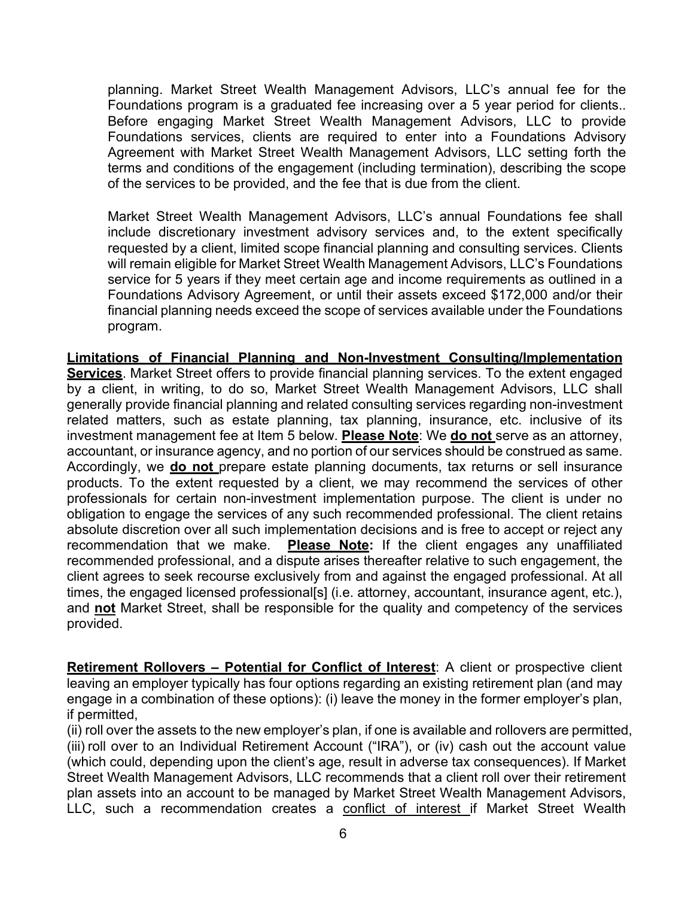planning. Market Street Wealth Management Advisors, LLC's annual fee for the Foundations program is a graduated fee increasing over a 5 year period for clients.. Before engaging Market Street Wealth Management Advisors, LLC to provide Foundations services, clients are required to enter into a Foundations Advisory Agreement with Market Street Wealth Management Advisors, LLC setting forth the terms and conditions of the engagement (including termination), describing the scope of the services to be provided, and the fee that is due from the client.

Market Street Wealth Management Advisors, LLC's annual Foundations fee shall include discretionary investment advisory services and, to the extent specifically requested by a client, limited scope financial planning and consulting services. Clients will remain eligible for Market Street Wealth Management Advisors, LLC's Foundations service for 5 years if they meet certain age and income requirements as outlined in a Foundations Advisory Agreement, or until their assets exceed \$172,000 and/or their financial planning needs exceed the scope of services available under the Foundations program.

**Limitations of Financial Planning and Non-Investment Consulting/Implementation Services**. Market Street offers to provide financial planning services. To the extent engaged by a client, in writing, to do so, Market Street Wealth Management Advisors, LLC shall generally provide financial planning and related consulting services regarding non-investment related matters, such as estate planning, tax planning, insurance, etc. inclusive of its investment management fee at Item 5 below. **Please Note**: We **do not** serve as an attorney, accountant, or insurance agency, and no portion of our services should be construed as same. Accordingly, we **do not** prepare estate planning documents, tax returns or sell insurance products. To the extent requested by a client, we may recommend the services of other professionals for certain non-investment implementation purpose. The client is under no obligation to engage the services of any such recommended professional. The client retains absolute discretion over all such implementation decisions and is free to accept or reject any recommendation that we make. **Please Note:** If the client engages any unaffiliated recommended professional, and a dispute arises thereafter relative to such engagement, the client agrees to seek recourse exclusively from and against the engaged professional. At all times, the engaged licensed professional[s] (i.e. attorney, accountant, insurance agent, etc.), and **not** Market Street, shall be responsible for the quality and competency of the services provided.

**Retirement Rollovers – Potential for Conflict of Interest**: A client or prospective client leaving an employer typically has four options regarding an existing retirement plan (and may engage in a combination of these options): (i) leave the money in the former employer's plan, if permitted,

(ii) roll over the assets to the new employer's plan, if one is available and rollovers are permitted, (iii) roll over to an Individual Retirement Account ("IRA"), or (iv) cash out the account value (which could, depending upon the client's age, result in adverse tax consequences). If Market Street Wealth Management Advisors, LLC recommends that a client roll over their retirement plan assets into an account to be managed by Market Street Wealth Management Advisors, LLC, such a recommendation creates a conflict of interest if Market Street Wealth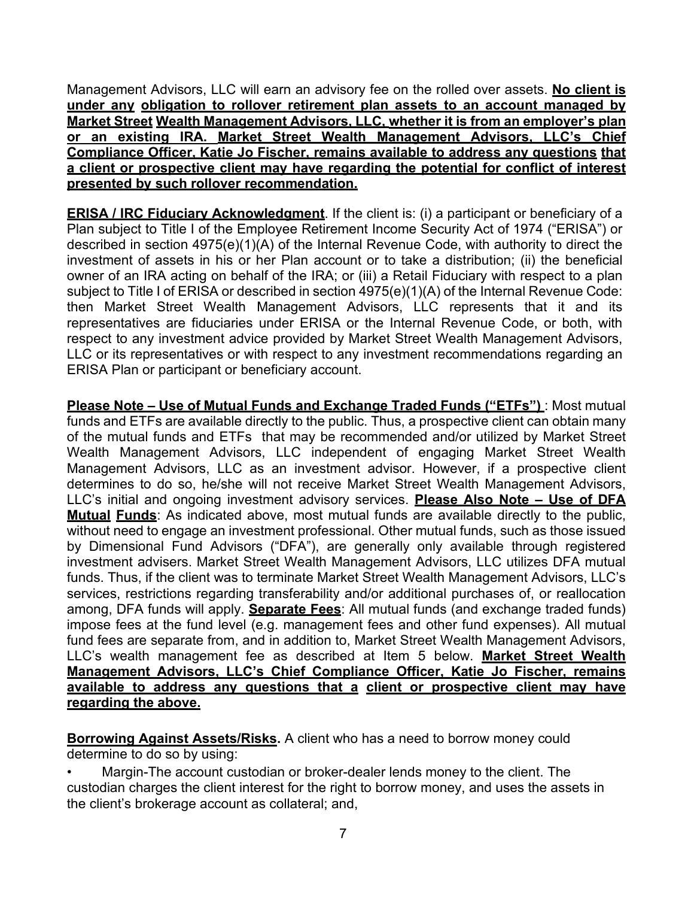Management Advisors, LLC will earn an advisory fee on the rolled over assets. **No client is under any obligation to rollover retirement plan assets to an account managed by Market Street Wealth Management Advisors, LLC, whether it is from an employer's plan or an existing IRA. Market Street Wealth Management Advisors, LLC's Chief Compliance Officer, Katie Jo Fischer, remains available to address any questions that a client or prospective client may have regarding the potential for conflict of interest presented by such rollover recommendation.**

**ERISA / IRC Fiduciary Acknowledgment**. If the client is: (i) a participant or beneficiary of a Plan subject to Title I of the Employee Retirement Income Security Act of 1974 ("ERISA") or described in section 4975(e)(1)(A) of the Internal Revenue Code, with authority to direct the investment of assets in his or her Plan account or to take a distribution; (ii) the beneficial owner of an IRA acting on behalf of the IRA; or (iii) a Retail Fiduciary with respect to a plan subject to Title I of ERISA or described in section 4975(e)(1)(A) of the Internal Revenue Code: then Market Street Wealth Management Advisors, LLC represents that it and its representatives are fiduciaries under ERISA or the Internal Revenue Code, or both, with respect to any investment advice provided by Market Street Wealth Management Advisors, LLC or its representatives or with respect to any investment recommendations regarding an ERISA Plan or participant or beneficiary account.

**Please Note – Use of Mutual Funds and Exchange Traded Funds ("ETFs")** : Most mutual funds and ETFs are available directly to the public. Thus, a prospective client can obtain many of the mutual funds and ETFs that may be recommended and/or utilized by Market Street Wealth Management Advisors, LLC independent of engaging Market Street Wealth Management Advisors, LLC as an investment advisor. However, if a prospective client determines to do so, he/she will not receive Market Street Wealth Management Advisors, LLC's initial and ongoing investment advisory services. **Please Also Note – Use of DFA Mutual Funds**: As indicated above, most mutual funds are available directly to the public, without need to engage an investment professional. Other mutual funds, such as those issued by Dimensional Fund Advisors ("DFA"), are generally only available through registered investment advisers. Market Street Wealth Management Advisors, LLC utilizes DFA mutual funds. Thus, if the client was to terminate Market Street Wealth Management Advisors, LLC's services, restrictions regarding transferability and/or additional purchases of, or reallocation among, DFA funds will apply. **Separate Fees**: All mutual funds (and exchange traded funds) impose fees at the fund level (e.g. management fees and other fund expenses). All mutual fund fees are separate from, and in addition to, Market Street Wealth Management Advisors, LLC's wealth management fee as described at Item 5 below. **Market Street Wealth Management Advisors, LLC's Chief Compliance Officer, Katie Jo Fischer, remains available to address any questions that a client or prospective client may have regarding the above.**

**Borrowing Against Assets/Risks.** A client who has a need to borrow money could determine to do so by using:

• Margin-The account custodian or broker-dealer lends money to the client. The custodian charges the client interest for the right to borrow money, and uses the assets in the client's brokerage account as collateral; and,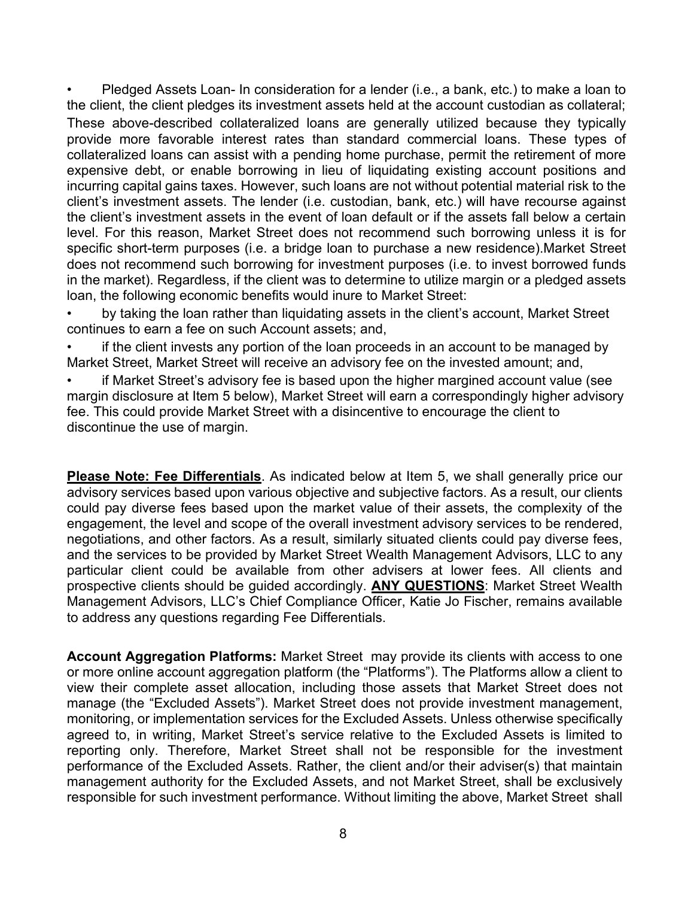• Pledged Assets Loan- In consideration for a lender (i.e., a bank, etc.) to make a loan to the client, the client pledges its investment assets held at the account custodian as collateral; These above-described collateralized loans are generally utilized because they typically provide more favorable interest rates than standard commercial loans. These types of collateralized loans can assist with a pending home purchase, permit the retirement of more expensive debt, or enable borrowing in lieu of liquidating existing account positions and incurring capital gains taxes. However, such loans are not without potential material risk to the client's investment assets. The lender (i.e. custodian, bank, etc.) will have recourse against the client's investment assets in the event of loan default or if the assets fall below a certain level. For this reason, Market Street does not recommend such borrowing unless it is for specific short-term purposes (i.e. a bridge loan to purchase a new residence).Market Street does not recommend such borrowing for investment purposes (i.e. to invest borrowed funds in the market). Regardless, if the client was to determine to utilize margin or a pledged assets loan, the following economic benefits would inure to Market Street:

• by taking the loan rather than liquidating assets in the client's account, Market Street continues to earn a fee on such Account assets; and,

if the client invests any portion of the loan proceeds in an account to be managed by Market Street, Market Street will receive an advisory fee on the invested amount; and,

• if Market Street's advisory fee is based upon the higher margined account value (see margin disclosure at Item 5 below), Market Street will earn a correspondingly higher advisory fee. This could provide Market Street with a disincentive to encourage the client to discontinue the use of margin.

**Please Note: Fee Differentials**. As indicated below at Item 5, we shall generally price our advisory services based upon various objective and subjective factors. As a result, our clients could pay diverse fees based upon the market value of their assets, the complexity of the engagement, the level and scope of the overall investment advisory services to be rendered, negotiations, and other factors. As a result, similarly situated clients could pay diverse fees, and the services to be provided by Market Street Wealth Management Advisors, LLC to any particular client could be available from other advisers at lower fees. All clients and prospective clients should be guided accordingly. **ANY QUESTIONS**: Market Street Wealth Management Advisors, LLC's Chief Compliance Officer, Katie Jo Fischer, remains available to address any questions regarding Fee Differentials.

**Account Aggregation Platforms:** Market Street may provide its clients with access to one or more online account aggregation platform (the "Platforms"). The Platforms allow a client to view their complete asset allocation, including those assets that Market Street does not manage (the "Excluded Assets"). Market Street does not provide investment management, monitoring, or implementation services for the Excluded Assets. Unless otherwise specifically agreed to, in writing, Market Street's service relative to the Excluded Assets is limited to reporting only. Therefore, Market Street shall not be responsible for the investment performance of the Excluded Assets. Rather, the client and/or their adviser(s) that maintain management authority for the Excluded Assets, and not Market Street, shall be exclusively responsible for such investment performance. Without limiting the above, Market Street shall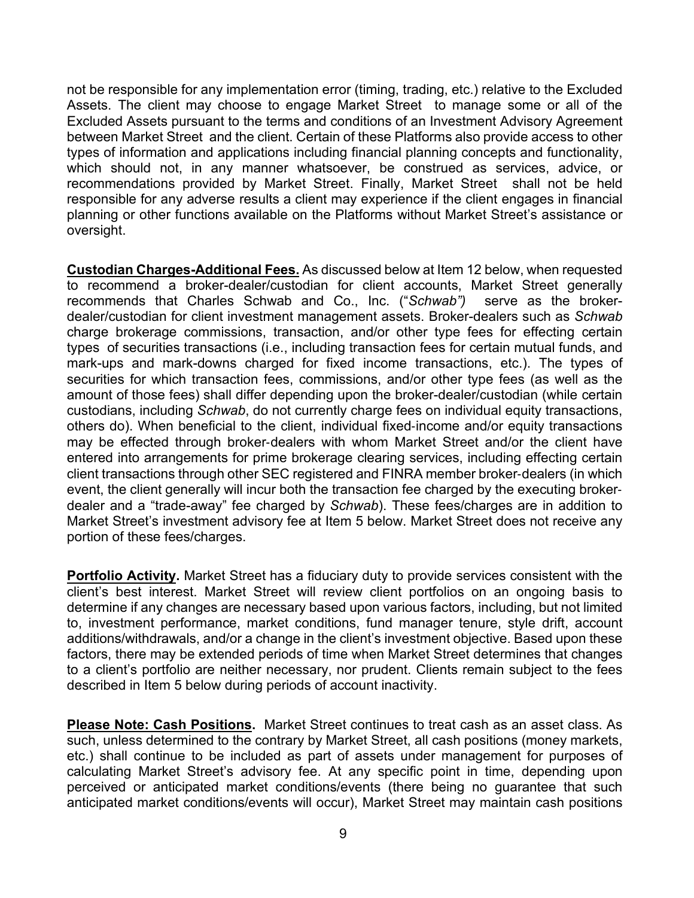not be responsible for any implementation error (timing, trading, etc.) relative to the Excluded Assets. The client may choose to engage Market Street to manage some or all of the Excluded Assets pursuant to the terms and conditions of an Investment Advisory Agreement between Market Street and the client. Certain of these Platforms also provide access to other types of information and applications including financial planning concepts and functionality, which should not, in any manner whatsoever, be construed as services, advice, or recommendations provided by Market Street. Finally, Market Street shall not be held responsible for any adverse results a client may experience if the client engages in financial planning or other functions available on the Platforms without Market Street's assistance or oversight.

**Custodian Charges-Additional Fees.** As discussed below at Item 12 below, when requested to recommend a broker-dealer/custodian for client accounts, Market Street generally<br>recommends that Charles Schwab and Co., Inc. ("*Schwab")* serve as the brokerrecommends that Charles Schwab and Co., Inc. ("Schwab") dealer/custodian for client investment management assets. Broker-dealers such as *Schwab* charge brokerage commissions, transaction, and/or other type fees for effecting certain types of securities transactions (i.e., including transaction fees for certain mutual funds, and mark-ups and mark-downs charged for fixed income transactions, etc.). The types of securities for which transaction fees, commissions, and/or other type fees (as well as the amount of those fees) shall differ depending upon the broker-dealer/custodian (while certain custodians, including *Schwab*, do not currently charge fees on individual equity transactions, others do). When beneficial to the client, individual fixed‐income and/or equity transactions may be effected through broker‐dealers with whom Market Street and/or the client have entered into arrangements for prime brokerage clearing services, including effecting certain client transactions through other SEC registered and FINRA member broker‐dealers (in which event, the client generally will incur both the transaction fee charged by the executing broker‐ dealer and a "trade-away" fee charged by *Schwab*). These fees/charges are in addition to Market Street's investment advisory fee at Item 5 below. Market Street does not receive any portion of these fees/charges.

**Portfolio Activity.** Market Street has a fiduciary duty to provide services consistent with the client's best interest. Market Street will review client portfolios on an ongoing basis to determine if any changes are necessary based upon various factors, including, but not limited to, investment performance, market conditions, fund manager tenure, style drift, account additions/withdrawals, and/or a change in the client's investment objective. Based upon these factors, there may be extended periods of time when Market Street determines that changes to a client's portfolio are neither necessary, nor prudent. Clients remain subject to the fees described in Item 5 below during periods of account inactivity.

**Please Note: Cash Positions.** Market Street continues to treat cash as an asset class. As such, unless determined to the contrary by Market Street, all cash positions (money markets, etc.) shall continue to be included as part of assets under management for purposes of calculating Market Street's advisory fee. At any specific point in time, depending upon perceived or anticipated market conditions/events (there being no guarantee that such anticipated market conditions/events will occur), Market Street may maintain cash positions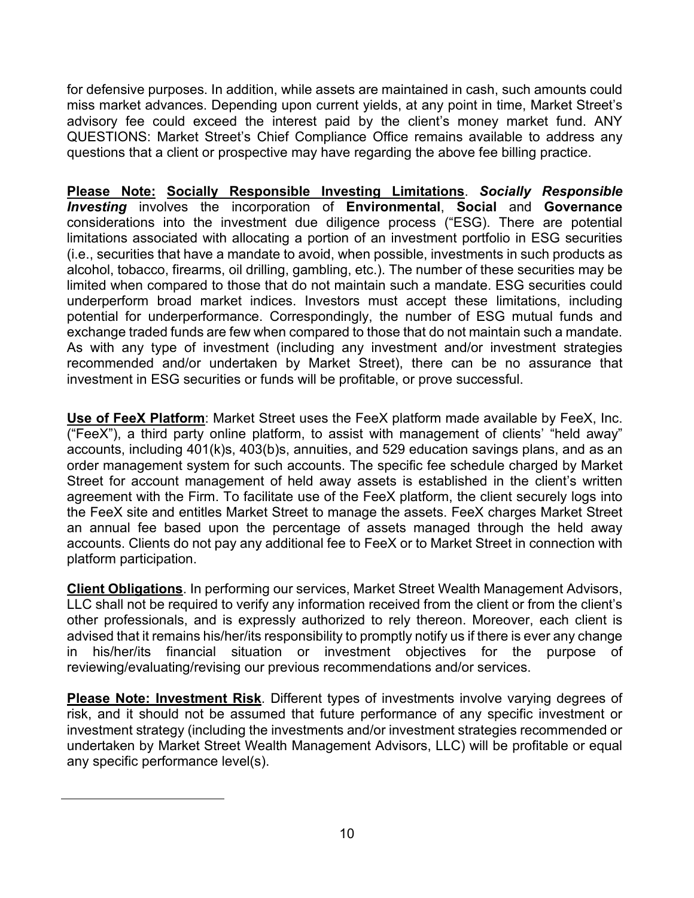for defensive purposes. In addition, while assets are maintained in cash, such amounts could miss market advances. Depending upon current yields, at any point in time, Market Street's advisory fee could exceed the interest paid by the client's money market fund. ANY QUESTIONS: Market Street's Chief Compliance Office remains available to address any questions that a client or prospective may have regarding the above fee billing practice.

**Please Note: Socially Responsible Investing Limitations**. *Socially Responsible Investing* involves the incorporation of **Environmental**, **Social** and **Governance** considerations into the investment due diligence process ("ESG). There are potential limitations associated with allocating a portion of an investment portfolio in ESG securities (i.e., securities that have a mandate to avoid, when possible, investments in such products as alcohol, tobacco, firearms, oil drilling, gambling, etc.). The number of these securities may be limited when compared to those that do not maintain such a mandate. ESG securities could underperform broad market indices. Investors must accept these limitations, including potential for underperformance. Correspondingly, the number of ESG mutual funds and exchange traded funds are few when compared to those that do not maintain such a mandate. As with any type of investment (including any investment and/or investment strategies recommended and/or undertaken by Market Street), there can be no assurance that investment in ESG securities or funds will be profitable, or prove successful.

**Use of FeeX Platform**: Market Street uses the FeeX platform made available by FeeX, Inc. ("FeeX"), a third party online platform, to assist with management of clients' "held away" accounts, including 401(k)s, 403(b)s, annuities, and 529 education savings plans, and as an order management system for such accounts. The specific fee schedule charged by Market Street for account management of held away assets is established in the client's written agreement with the Firm. To facilitate use of the FeeX platform, the client securely logs into the FeeX site and entitles Market Street to manage the assets. FeeX charges Market Street an annual fee based upon the percentage of assets managed through the held away accounts. Clients do not pay any additional fee to FeeX or to Market Street in connection with platform participation.

**Client Obligations**. In performing our services, Market Street Wealth Management Advisors, LLC shall not be required to verify any information received from the client or from the client's other professionals, and is expressly authorized to rely thereon. Moreover, each client is advised that it remains his/her/its responsibility to promptly notify us if there is ever any change in his/her/its financial situation or investment objectives for the purpose of reviewing/evaluating/revising our previous recommendations and/or services.

**Please Note: Investment Risk**. Different types of investments involve varying degrees of risk, and it should not be assumed that future performance of any specific investment or investment strategy (including the investments and/or investment strategies recommended or undertaken by Market Street Wealth Management Advisors, LLC) will be profitable or equal any specific performance level(s).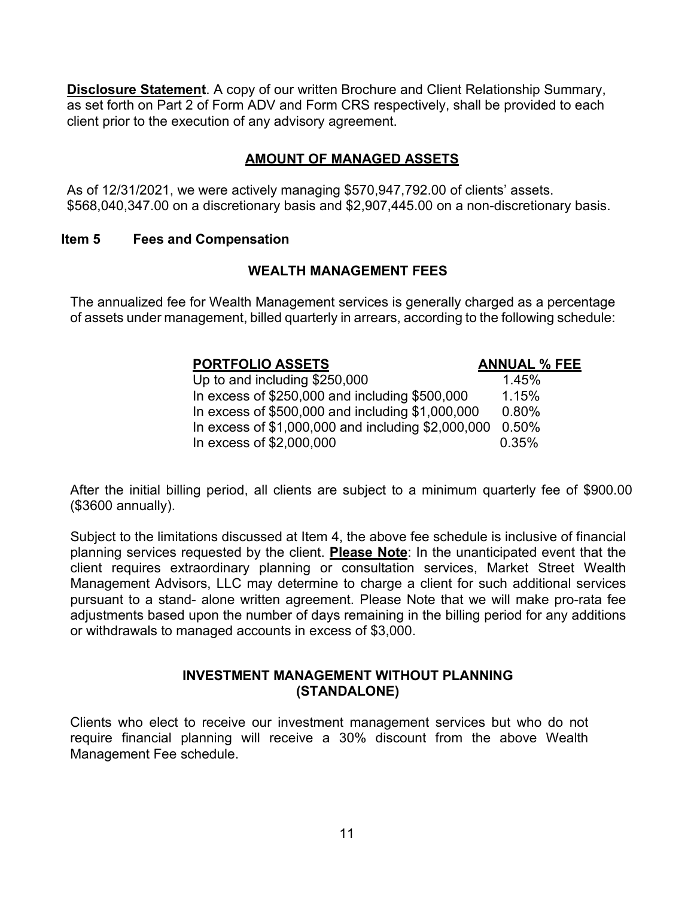**Disclosure Statement**. A copy of our written Brochure and Client Relationship Summary, as set forth on Part 2 of Form ADV and Form CRS respectively, shall be provided to each client prior to the execution of any advisory agreement.

### **AMOUNT OF MANAGED ASSETS**

As of 12/31/2021, we were actively managing \$570,947,792.00 of clients' assets. \$568,040,347.00 on a discretionary basis and \$2,907,445.00 on a non-discretionary basis.

#### <span id="page-10-0"></span>**Item 5 Fees and Compensation**

#### **WEALTH MANAGEMENT FEES**

The annualized fee for Wealth Management services is generally charged as a percentage of assets under management, billed quarterly in arrears, according to the following schedule:

# **PORTFOLIO ASSETS ANNUAL % FEE**

Up to and including  $$250,000$  1.45% In excess of  $$250,000$  and including  $$500,000$  1.15% In excess of \$500,000 and including \$1,000,000 0.80% In excess of \$1,000,000 and including \$2,000,000 0.50% In excess of \$2,000,000 0.35%

After the initial billing period, all clients are subject to a minimum quarterly fee of \$900.00 (\$3600 annually).

Subject to the limitations discussed at Item 4, the above fee schedule is inclusive of financial planning services requested by the client. **Please Note**: In the unanticipated event that the client requires extraordinary planning or consultation services, Market Street Wealth Management Advisors, LLC may determine to charge a client for such additional services pursuant to a stand- alone written agreement. Please Note that we will make pro-rata fee adjustments based upon the number of days remaining in the billing period for any additions or withdrawals to managed accounts in excess of \$3,000.

#### **INVESTMENT MANAGEMENT WITHOUT PLANNING (STANDALONE)**

Clients who elect to receive our investment management services but who do not require financial planning will receive a 30% discount from the above Wealth Management Fee schedule.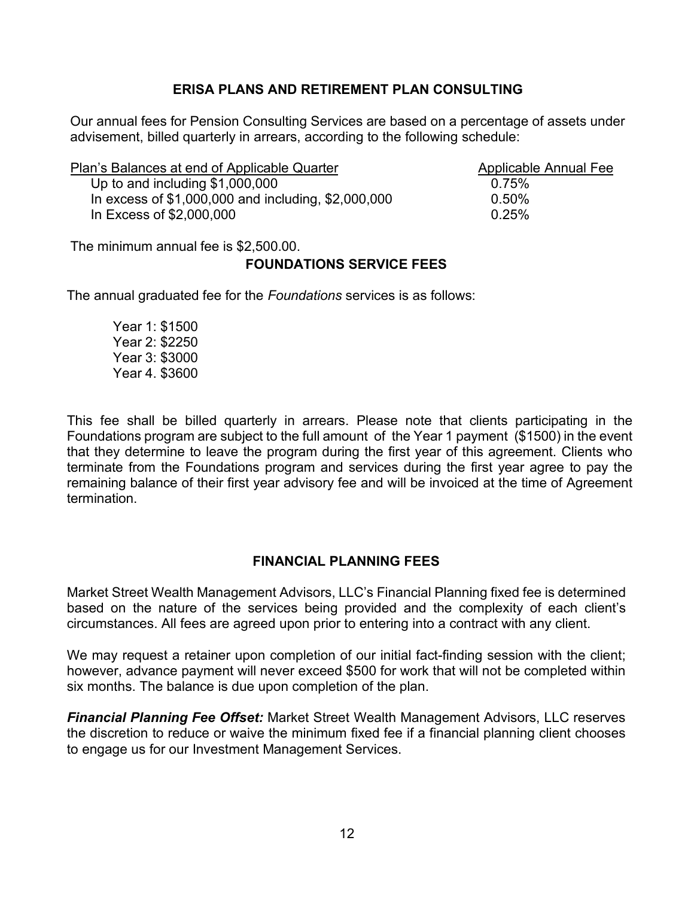### **ERISA PLANS AND RETIREMENT PLAN CONSULTING**

Our annual fees for Pension Consulting Services are based on a percentage of assets under advisement, billed quarterly in arrears, according to the following schedule:

| Plan's Balances at end of Applicable Quarter          | Applicable Annual Fee |
|-------------------------------------------------------|-----------------------|
| Up to and including \$1,000,000                       | 0.75%                 |
| In excess of $$1,000,000$ and including, $$2,000,000$ | 0.50%                 |
| In Excess of \$2,000,000                              | $0.25\%$              |

The minimum annual fee is \$2,500.00.

#### **FOUNDATIONS SERVICE FEES**

The annual graduated fee for the *Foundations* services is as follows:

Year 1: \$1500 Year 2: \$2250 Year 3: \$3000 Year 4. \$3600

This fee shall be billed quarterly in arrears. Please note that clients participating in the Foundations program are subject to the full amount of the Year 1 payment (\$1500) in the event that they determine to leave the program during the first year of this agreement. Clients who terminate from the Foundations program and services during the first year agree to pay the remaining balance of their first year advisory fee and will be invoiced at the time of Agreement termination.

### **FINANCIAL PLANNING FEES**

Market Street Wealth Management Advisors, LLC's Financial Planning fixed fee is determined based on the nature of the services being provided and the complexity of each client's circumstances. All fees are agreed upon prior to entering into a contract with any client.

We may request a retainer upon completion of our initial fact-finding session with the client; however, advance payment will never exceed \$500 for work that will not be completed within six months. The balance is due upon completion of the plan.

*Financial Planning Fee Offset:* Market Street Wealth Management Advisors, LLC reserves the discretion to reduce or waive the minimum fixed fee if a financial planning client chooses to engage us for our Investment Management Services.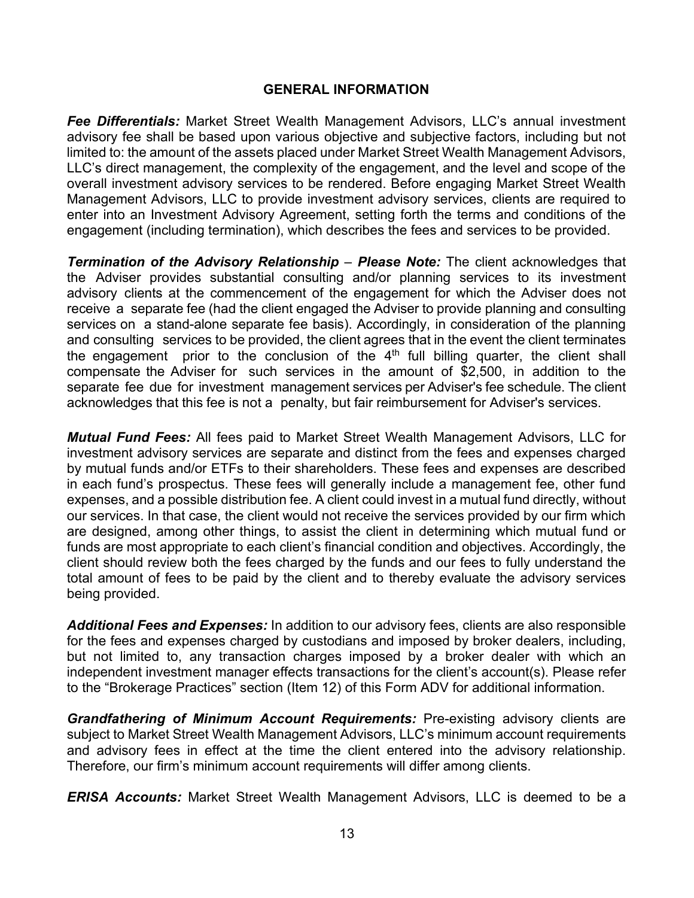#### **GENERAL INFORMATION**

*Fee Differentials:* Market Street Wealth Management Advisors, LLC's annual investment advisory fee shall be based upon various objective and subjective factors, including but not limited to: the amount of the assets placed under Market Street Wealth Management Advisors, LLC's direct management, the complexity of the engagement, and the level and scope of the overall investment advisory services to be rendered. Before engaging Market Street Wealth Management Advisors, LLC to provide investment advisory services, clients are required to enter into an Investment Advisory Agreement, setting forth the terms and conditions of the engagement (including termination), which describes the fees and services to be provided.

*Termination of the Advisory Relationship* – *Please Note:* The client acknowledges that the Adviser provides substantial consulting and/or planning services to its investment advisory clients at the commencement of the engagement for which the Adviser does not receive a separate fee (had the client engaged the Adviser to provide planning and consulting services on a stand-alone separate fee basis). Accordingly, in consideration of the planning and consulting services to be provided, the client agrees that in the event the client terminates the engagement prior to the conclusion of the  $4<sup>th</sup>$  full billing quarter, the client shall compensate the Adviser for such services in the amount of \$2,500, in addition to the separate fee due for investment management services per Adviser's fee schedule. The client acknowledges that this fee is not a penalty, but fair reimbursement for Adviser's services.

*Mutual Fund Fees:* All fees paid to Market Street Wealth Management Advisors, LLC for investment advisory services are separate and distinct from the fees and expenses charged by mutual funds and/or ETFs to their shareholders. These fees and expenses are described in each fund's prospectus. These fees will generally include a management fee, other fund expenses, and a possible distribution fee. A client could invest in a mutual fund directly, without our services. In that case, the client would not receive the services provided by our firm which are designed, among other things, to assist the client in determining which mutual fund or funds are most appropriate to each client's financial condition and objectives. Accordingly, the client should review both the fees charged by the funds and our fees to fully understand the total amount of fees to be paid by the client and to thereby evaluate the advisory services being provided.

*Additional Fees and Expenses:* In addition to our advisory fees, clients are also responsible for the fees and expenses charged by custodians and imposed by broker dealers, including, but not limited to, any transaction charges imposed by a broker dealer with which an independent investment manager effects transactions for the client's account(s). Please refer to the "Brokerage Practices" section (Item 12) of this Form ADV for additional information.

*Grandfathering of Minimum Account Requirements:* Pre-existing advisory clients are subject to Market Street Wealth Management Advisors, LLC's minimum account requirements and advisory fees in effect at the time the client entered into the advisory relationship. Therefore, our firm's minimum account requirements will differ among clients.

*ERISA Accounts:* Market Street Wealth Management Advisors, LLC is deemed to be a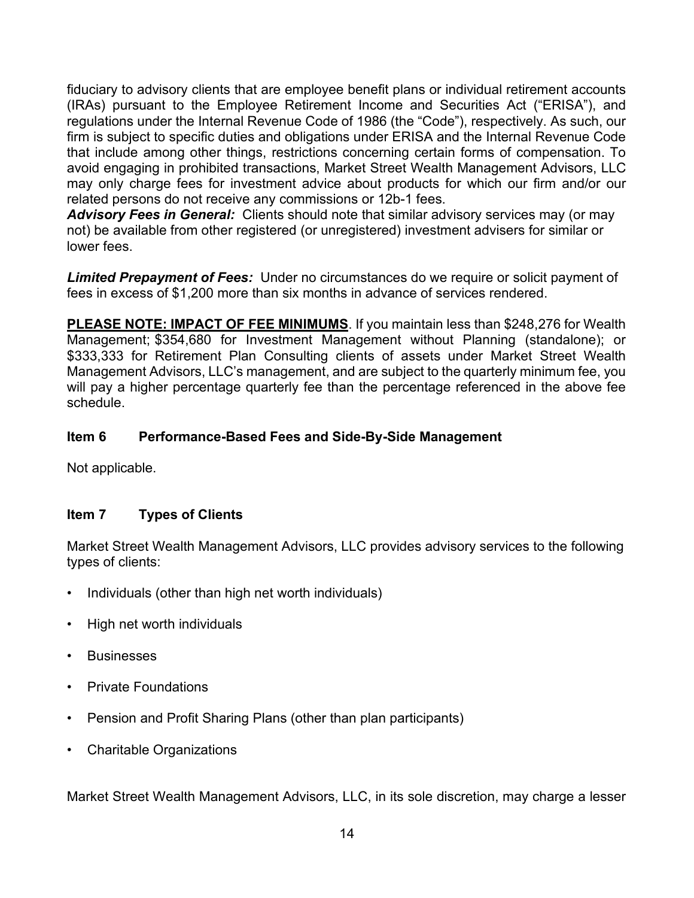fiduciary to advisory clients that are employee benefit plans or individual retirement accounts (IRAs) pursuant to the Employee Retirement Income and Securities Act ("ERISA"), and regulations under the Internal Revenue Code of 1986 (the "Code"), respectively. As such, our firm is subject to specific duties and obligations under ERISA and the Internal Revenue Code that include among other things, restrictions concerning certain forms of compensation. To avoid engaging in prohibited transactions, Market Street Wealth Management Advisors, LLC may only charge fees for investment advice about products for which our firm and/or our related persons do not receive any commissions or 12b-1 fees.

*Advisory Fees in General:* Clients should note that similar advisory services may (or may not) be available from other registered (or unregistered) investment advisers for similar or lower fees.

*Limited Prepayment of Fees:* Under no circumstances do we require or solicit payment of fees in excess of \$1,200 more than six months in advance of services rendered.

**PLEASE NOTE: IMPACT OF FEE MINIMUMS**. If you maintain less than \$248,276 for Wealth Management; \$354,680 for Investment Management without Planning (standalone); or \$333,333 for Retirement Plan Consulting clients of assets under Market Street Wealth Management Advisors, LLC's management, and are subject to the quarterly minimum fee, you will pay a higher percentage quarterly fee than the percentage referenced in the above fee schedule.

### <span id="page-13-0"></span>**Item 6 Performance-Based Fees and Side-By-Side Management**

Not applicable.

### <span id="page-13-1"></span>**Item 7 Types of Clients**

Market Street Wealth Management Advisors, LLC provides advisory services to the following types of clients:

- Individuals (other than high net worth individuals)
- High net worth individuals
- Businesses
- Private Foundations
- Pension and Profit Sharing Plans (other than plan participants)
- Charitable Organizations

Market Street Wealth Management Advisors, LLC, in its sole discretion, may charge a lesser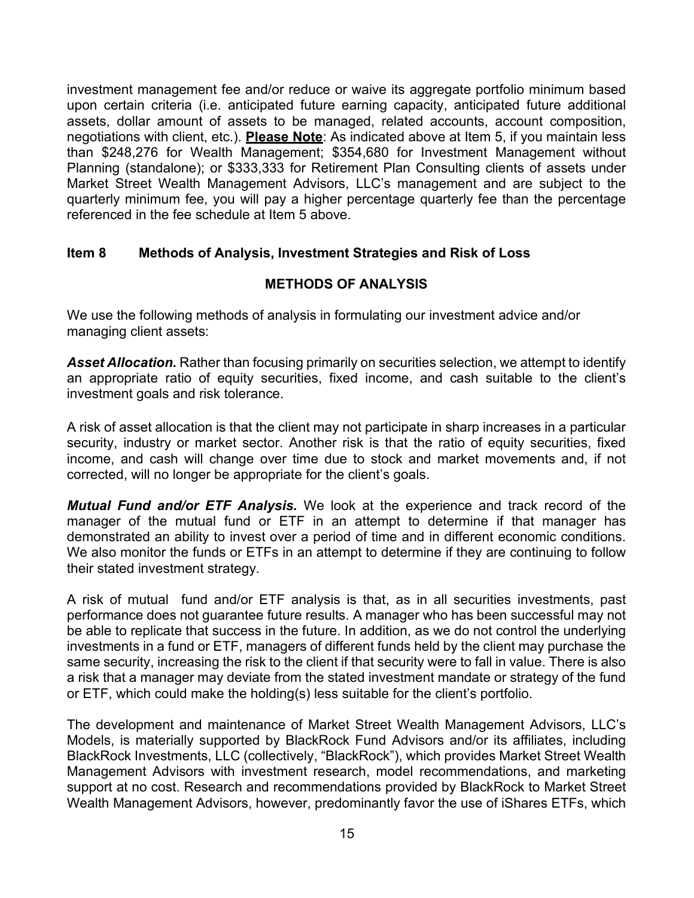investment management fee and/or reduce or waive its aggregate portfolio minimum based upon certain criteria (i.e. anticipated future earning capacity, anticipated future additional assets, dollar amount of assets to be managed, related accounts, account composition, negotiations with client, etc.). **Please Note**: As indicated above at Item 5, if you maintain less than \$248,276 for Wealth Management; \$354,680 for Investment Management without Planning (standalone); or \$333,333 for Retirement Plan Consulting clients of assets under Market Street Wealth Management Advisors, LLC's management and are subject to the quarterly minimum fee, you will pay a higher percentage quarterly fee than the percentage referenced in the fee schedule at Item 5 above.

### <span id="page-14-0"></span>**Item 8 Methods of Analysis, Investment Strategies and Risk of Loss**

### **METHODS OF ANALYSIS**

We use the following methods of analysis in formulating our investment advice and/or managing client assets:

*Asset Allocation.* Rather than focusing primarily on securities selection, we attempt to identify an appropriate ratio of equity securities, fixed income, and cash suitable to the client's investment goals and risk tolerance.

A risk of asset allocation is that the client may not participate in sharp increases in a particular security, industry or market sector. Another risk is that the ratio of equity securities, fixed income, and cash will change over time due to stock and market movements and, if not corrected, will no longer be appropriate for the client's goals.

*Mutual Fund and/or ETF Analysis.* We look at the experience and track record of the manager of the mutual fund or ETF in an attempt to determine if that manager has demonstrated an ability to invest over a period of time and in different economic conditions. We also monitor the funds or ETFs in an attempt to determine if they are continuing to follow their stated investment strategy.

A risk of mutual fund and/or ETF analysis is that, as in all securities investments, past performance does not guarantee future results. A manager who has been successful may not be able to replicate that success in the future. In addition, as we do not control the underlying investments in a fund or ETF, managers of different funds held by the client may purchase the same security, increasing the risk to the client if that security were to fall in value. There is also a risk that a manager may deviate from the stated investment mandate or strategy of the fund or ETF, which could make the holding(s) less suitable for the client's portfolio.

The development and maintenance of Market Street Wealth Management Advisors, LLC's Models, is materially supported by BlackRock Fund Advisors and/or its affiliates, including BlackRock Investments, LLC (collectively, "BlackRock"), which provides Market Street Wealth Management Advisors with investment research, model recommendations, and marketing support at no cost. Research and recommendations provided by BlackRock to Market Street Wealth Management Advisors, however, predominantly favor the use of iShares ETFs, which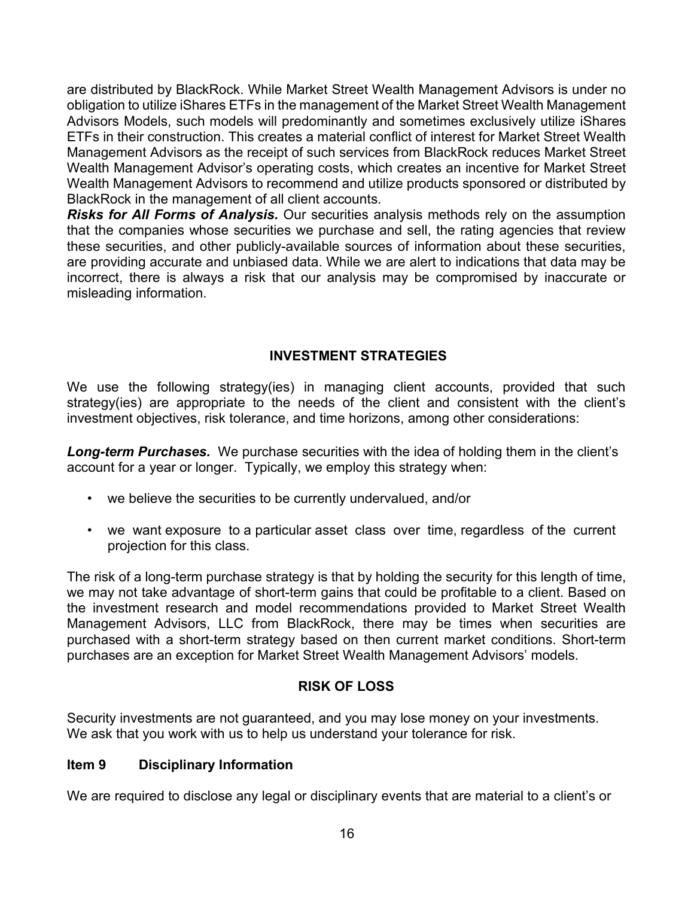are distributed by BlackRock. While Market Street Wealth Management Advisors is under no obligation to utilize iShares ETFs in the management of the Market Street Wealth Management Advisors Models, such models will predominantly and sometimes exclusively utilize iShares ETFs in their construction. This creates a material conflict of interest for Market Street Wealth Management Advisors as the receipt of such services from BlackRock reduces Market Street Wealth Management Advisor's operating costs, which creates an incentive for Market Street Wealth Management Advisors to recommend and utilize products sponsored or distributed by BlackRock in the management of all client accounts.

*Risks for All Forms of Analysis.* Our securities analysis methods rely on the assumption that the companies whose securities we purchase and sell, the rating agencies that review these securities, and other publicly-available sources of information about these securities, are providing accurate and unbiased data. While we are alert to indications that data may be incorrect, there is always a risk that our analysis may be compromised by inaccurate or misleading information.

### **INVESTMENT STRATEGIES**

We use the following strategy(ies) in managing client accounts, provided that such strategy(ies) are appropriate to the needs of the client and consistent with the client's investment objectives, risk tolerance, and time horizons, among other considerations:

*Long-term Purchases.* We purchase securities with the idea of holding them in the client's account for a year or longer. Typically, we employ this strategy when:

- we believe the securities to be currently undervalued, and/or
- we want exposure to a particular asset class over time, regardless of the current projection for this class.

The risk of a long-term purchase strategy is that by holding the security for this length of time, we may not take advantage of short-term gains that could be profitable to a client. Based on the investment research and model recommendations provided to Market Street Wealth Management Advisors, LLC from BlackRock, there may be times when securities are purchased with a short-term strategy based on then current market conditions. Short-term purchases are an exception for Market Street Wealth Management Advisors' models.

### <span id="page-15-0"></span>**RISK OF LOSS**

Security investments are not guaranteed, and you may lose money on your investments. We ask that you work with us to help us understand your tolerance for risk.

### **Item 9 Disciplinary Information**

We are required to disclose any legal or disciplinary events that are material to a client's or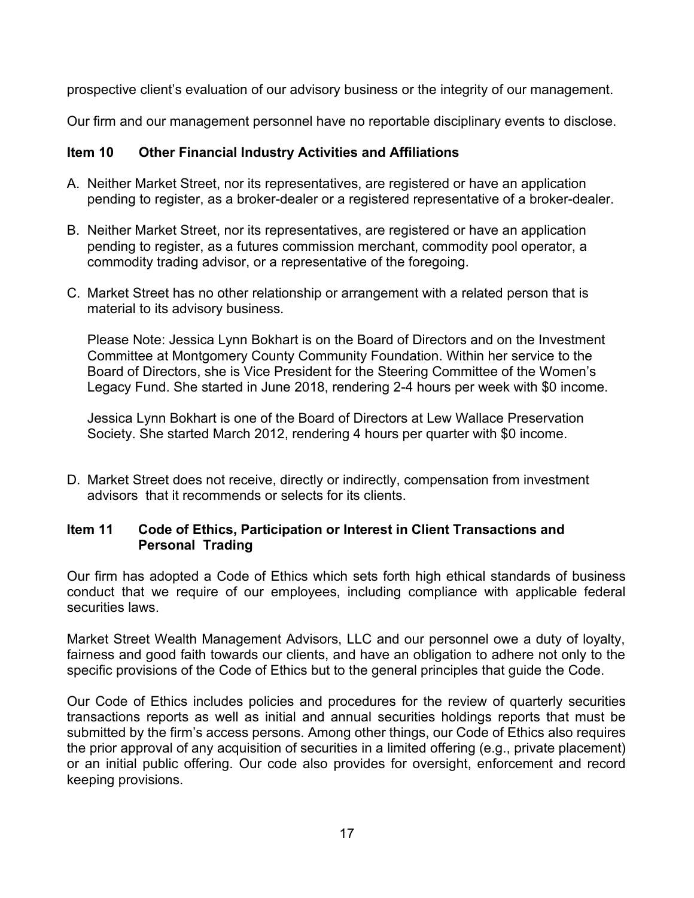prospective client's evaluation of our advisory business or the integrity of our management.

<span id="page-16-0"></span>Our firm and our management personnel have no reportable disciplinary events to disclose.

### **Item 10 Other Financial Industry Activities and Affiliations**

- A. Neither Market Street, nor its representatives, are registered or have an application pending to register, as a broker-dealer or a registered representative of a broker-dealer.
- B. Neither Market Street, nor its representatives, are registered or have an application pending to register, as a futures commission merchant, commodity pool operator, a commodity trading advisor, or a representative of the foregoing.
- C. Market Street has no other relationship or arrangement with a related person that is material to its advisory business.

Please Note: Jessica Lynn Bokhart is on the Board of Directors and on the Investment Committee at Montgomery County Community Foundation. Within her service to the Board of Directors, she is Vice President for the Steering Committee of the Women's Legacy Fund. She started in June 2018, rendering 2-4 hours per week with \$0 income.

Jessica Lynn Bokhart is one of the Board of Directors at Lew Wallace Preservation Society. She started March 2012, rendering 4 hours per quarter with \$0 income.

D. Market Street does not receive, directly or indirectly, compensation from investment advisors that it recommends or selects for its clients.

### <span id="page-16-1"></span>**Item 11 Code of Ethics, Participation or Interest in Client Transactions and Personal Trading**

Our firm has adopted a Code of Ethics which sets forth high ethical standards of business conduct that we require of our employees, including compliance with applicable federal securities laws.

Market Street Wealth Management Advisors, LLC and our personnel owe a duty of loyalty, fairness and good faith towards our clients, and have an obligation to adhere not only to the specific provisions of the Code of Ethics but to the general principles that guide the Code.

Our Code of Ethics includes policies and procedures for the review of quarterly securities transactions reports as well as initial and annual securities holdings reports that must be submitted by the firm's access persons. Among other things, our Code of Ethics also requires the prior approval of any acquisition of securities in a limited offering (e.g., private placement) or an initial public offering. Our code also provides for oversight, enforcement and record keeping provisions.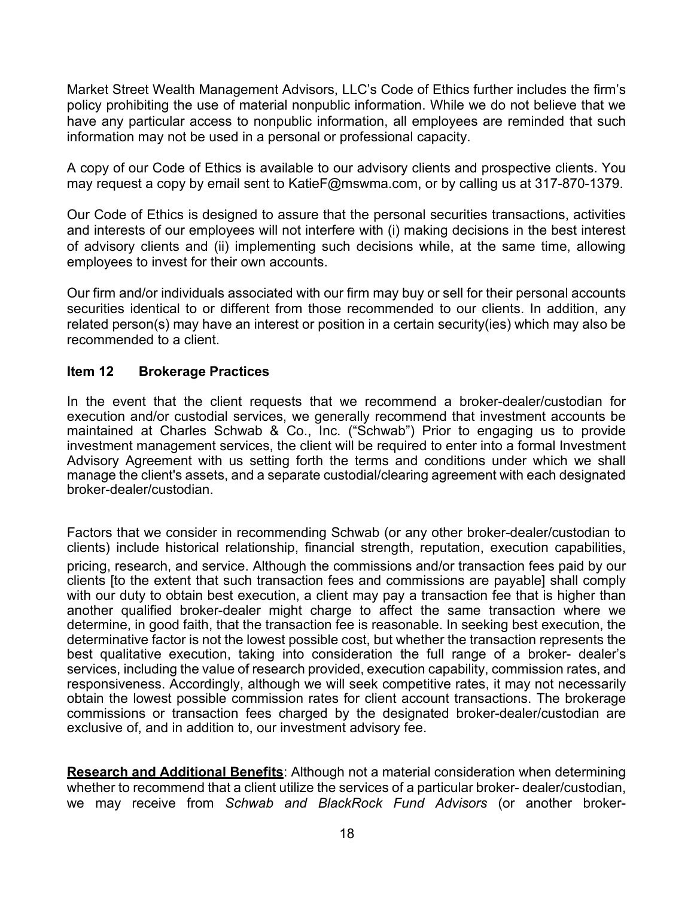Market Street Wealth Management Advisors, LLC's Code of Ethics further includes the firm's policy prohibiting the use of material nonpublic information. While we do not believe that we have any particular access to nonpublic information, all employees are reminded that such information may not be used in a personal or professional capacity.

A copy of our Code of Ethics is available to our advisory clients and prospective clients. You may request a copy by email sent to [KatieF@mswma.com,](mailto:KatieF@mswma.com) or by calling us at 317-870-1379.

Our Code of Ethics is designed to assure that the personal securities transactions, activities and interests of our employees will not interfere with (i) making decisions in the best interest of advisory clients and (ii) implementing such decisions while, at the same time, allowing employees to invest for their own accounts.

Our firm and/or individuals associated with our firm may buy or sell for their personal accounts securities identical to or different from those recommended to our clients. In addition, any related person(s) may have an interest or position in a certain security(ies) which may also be recommended to a client.

### <span id="page-17-0"></span>**Item 12 Brokerage Practices**

In the event that the client requests that we recommend a broker-dealer/custodian for execution and/or custodial services, we generally recommend that investment accounts be maintained at Charles Schwab & Co., Inc. ("Schwab") Prior to engaging us to provide investment management services, the client will be required to enter into a formal Investment Advisory Agreement with us setting forth the terms and conditions under which we shall manage the client's assets, and a separate custodial/clearing agreement with each designated broker-dealer/custodian.

Factors that we consider in recommending Schwab (or any other broker-dealer/custodian to clients) include historical relationship, financial strength, reputation, execution capabilities, pricing, research, and service. Although the commissions and/or transaction fees paid by our clients [to the extent that such transaction fees and commissions are payable] shall comply with our duty to obtain best execution, a client may pay a transaction fee that is higher than another qualified broker-dealer might charge to affect the same transaction where we determine, in good faith, that the transaction fee is reasonable. In seeking best execution, the determinative factor is not the lowest possible cost, but whether the transaction represents the best qualitative execution, taking into consideration the full range of a broker- dealer's services, including the value of research provided, execution capability, commission rates, and responsiveness. Accordingly, although we will seek competitive rates, it may not necessarily obtain the lowest possible commission rates for client account transactions. The brokerage commissions or transaction fees charged by the designated broker-dealer/custodian are exclusive of, and in addition to, our investment advisory fee.

**Research and Additional Benefits**: Although not a material consideration when determining whether to recommend that a client utilize the services of a particular broker- dealer/custodian, we may receive from *Schwab and BlackRock Fund Advisors* (or another broker-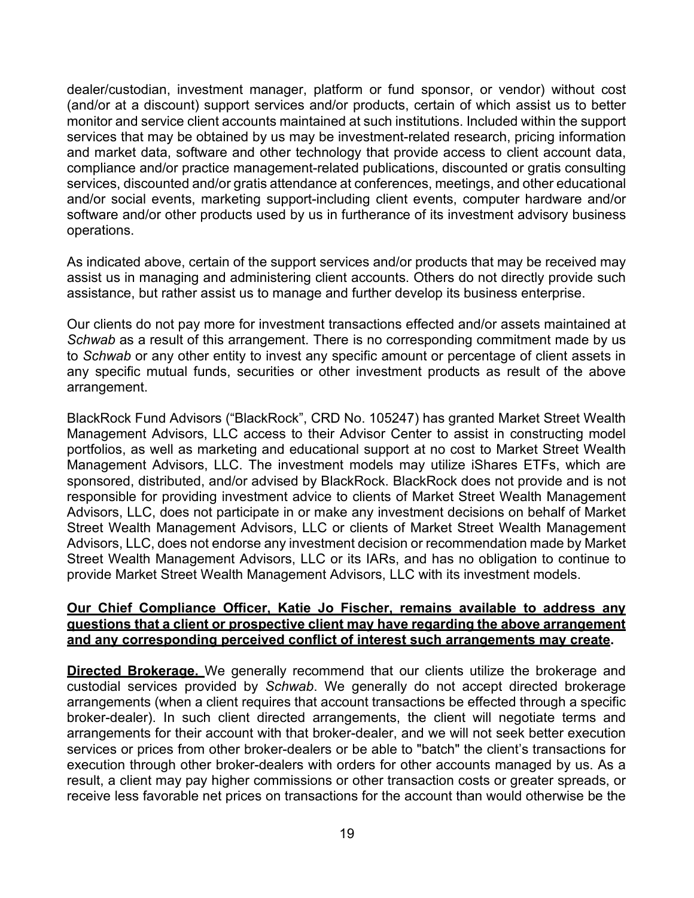dealer/custodian, investment manager, platform or fund sponsor, or vendor) without cost (and/or at a discount) support services and/or products, certain of which assist us to better monitor and service client accounts maintained at such institutions. Included within the support services that may be obtained by us may be investment-related research, pricing information and market data, software and other technology that provide access to client account data, compliance and/or practice management-related publications, discounted or gratis consulting services, discounted and/or gratis attendance at conferences, meetings, and other educational and/or social events, marketing support-including client events, computer hardware and/or software and/or other products used by us in furtherance of its investment advisory business operations.

As indicated above, certain of the support services and/or products that may be received may assist us in managing and administering client accounts. Others do not directly provide such assistance, but rather assist us to manage and further develop its business enterprise.

Our clients do not pay more for investment transactions effected and/or assets maintained at *Schwab* as a result of this arrangement. There is no corresponding commitment made by us to *Schwab* or any other entity to invest any specific amount or percentage of client assets in any specific mutual funds, securities or other investment products as result of the above arrangement.

BlackRock Fund Advisors ("BlackRock", CRD No. 105247) has granted Market Street Wealth Management Advisors, LLC access to their Advisor Center to assist in constructing model portfolios, as well as marketing and educational support at no cost to Market Street Wealth Management Advisors, LLC. The investment models may utilize iShares ETFs, which are sponsored, distributed, and/or advised by BlackRock. BlackRock does not provide and is not responsible for providing investment advice to clients of Market Street Wealth Management Advisors, LLC, does not participate in or make any investment decisions on behalf of Market Street Wealth Management Advisors, LLC or clients of Market Street Wealth Management Advisors, LLC, does not endorse any investment decision or recommendation made by Market Street Wealth Management Advisors, LLC or its IARs, and has no obligation to continue to provide Market Street Wealth Management Advisors, LLC with its investment models.

#### **Our Chief Compliance Officer, Katie Jo Fischer, remains available to address any questions that a client or prospective client may have regarding the above arrangement and any corresponding perceived conflict of interest such arrangements may create.**

**Directed Brokerage.** We generally recommend that our clients utilize the brokerage and custodial services provided by *Schwab*. We generally do not accept directed brokerage arrangements (when a client requires that account transactions be effected through a specific broker-dealer). In such client directed arrangements, the client will negotiate terms and arrangements for their account with that broker-dealer, and we will not seek better execution services or prices from other broker-dealers or be able to "batch" the client's transactions for execution through other broker-dealers with orders for other accounts managed by us. As a result, a client may pay higher commissions or other transaction costs or greater spreads, or receive less favorable net prices on transactions for the account than would otherwise be the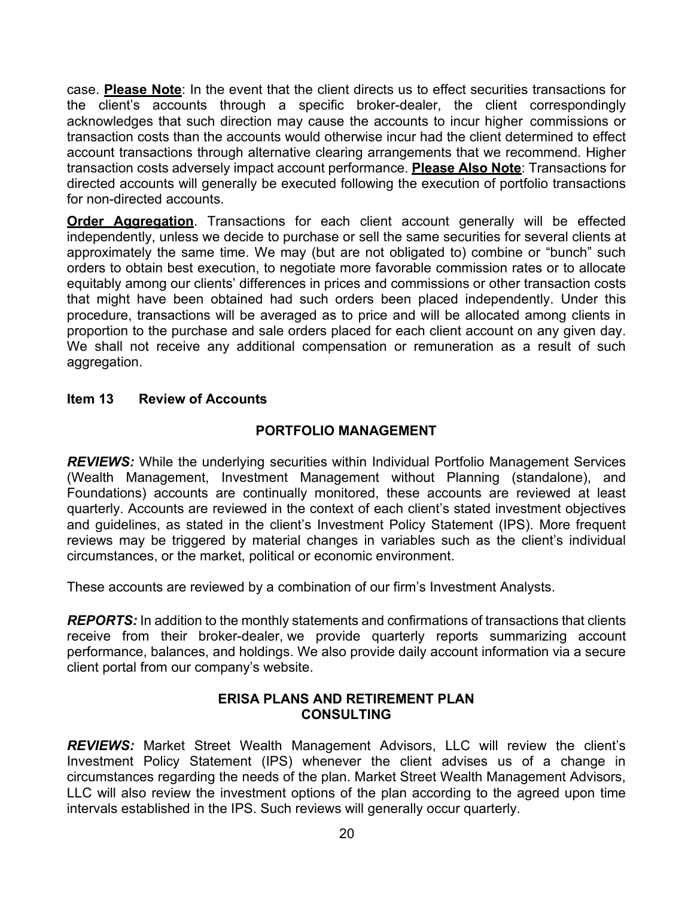case. **Please Note**: In the event that the client directs us to effect securities transactions for the client's accounts through a specific broker-dealer, the client correspondingly acknowledges that such direction may cause the accounts to incur higher commissions or transaction costs than the accounts would otherwise incur had the client determined to effect account transactions through alternative clearing arrangements that we recommend. Higher transaction costs adversely impact account performance. **Please Also Note**: Transactions for directed accounts will generally be executed following the execution of portfolio transactions for non-directed accounts.

**Order Aggregation**. Transactions for each client account generally will be effected independently, unless we decide to purchase or sell the same securities for several clients at approximately the same time. We may (but are not obligated to) combine or "bunch" such orders to obtain best execution, to negotiate more favorable commission rates or to allocate equitably among our clients' differences in prices and commissions or other transaction costs that might have been obtained had such orders been placed independently. Under this procedure, transactions will be averaged as to price and will be allocated among clients in proportion to the purchase and sale orders placed for each client account on any given day. We shall not receive any additional compensation or remuneration as a result of such aggregation.

### <span id="page-19-0"></span>**Item 13 Review of Accounts**

### **PORTFOLIO MANAGEMENT**

*REVIEWS:* While the underlying securities within Individual Portfolio Management Services (Wealth Management, Investment Management without Planning (standalone), and Foundations) accounts are continually monitored, these accounts are reviewed at least quarterly. Accounts are reviewed in the context of each client's stated investment objectives and guidelines, as stated in the client's Investment Policy Statement (IPS). More frequent reviews may be triggered by material changes in variables such as the client's individual circumstances, or the market, political or economic environment.

These accounts are reviewed by a combination of our firm's Investment Analysts.

*REPORTS:* In addition to the monthly statements and confirmations of transactions that clients receive from their broker-dealer, we provide quarterly reports summarizing account performance, balances, and holdings. We also provide daily account information via a secure client portal from our company's website.

### **ERISA PLANS AND RETIREMENT PLAN CONSULTING**

*REVIEWS:* Market Street Wealth Management Advisors, LLC will review the client's Investment Policy Statement (IPS) whenever the client advises us of a change in circumstances regarding the needs of the plan. Market Street Wealth Management Advisors, LLC will also review the investment options of the plan according to the agreed upon time intervals established in the IPS. Such reviews will generally occur quarterly.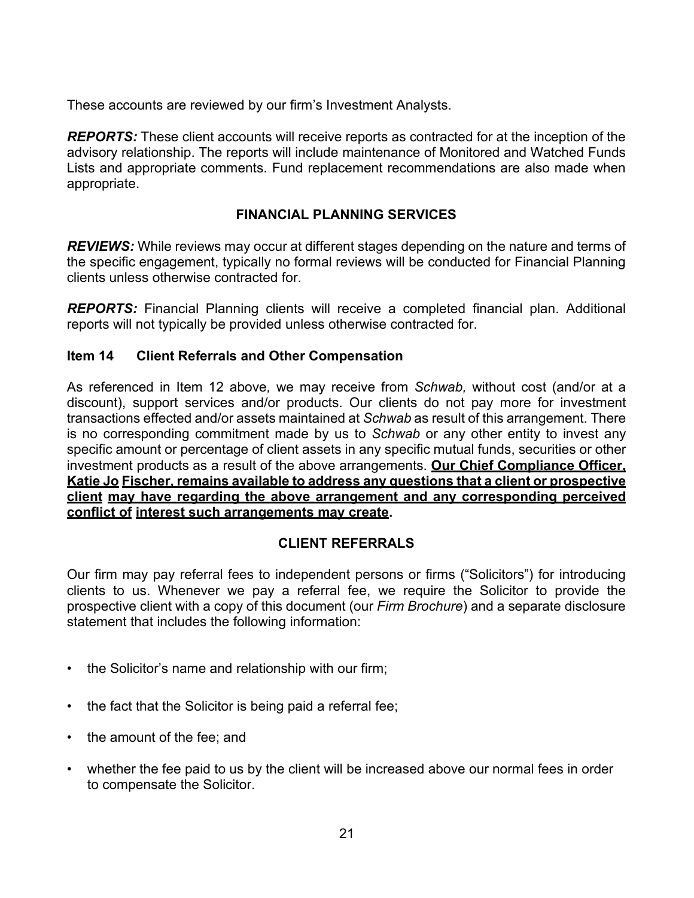These accounts are reviewed by our firm's Investment Analysts.

*REPORTS:* These client accounts will receive reports as contracted for at the inception of the advisory relationship. The reports will include maintenance of Monitored and Watched Funds Lists and appropriate comments. Fund replacement recommendations are also made when appropriate.

### **FINANCIAL PLANNING SERVICES**

*REVIEWS:* While reviews may occur at different stages depending on the nature and terms of the specific engagement, typically no formal reviews will be conducted for Financial Planning clients unless otherwise contracted for.

*REPORTS:* Financial Planning clients will receive a completed financial plan. Additional reports will not typically be provided unless otherwise contracted for.

### <span id="page-20-0"></span>**Item 14 Client Referrals and Other Compensation**

As referenced in Item 12 above*,* we may receive from *Schwab,* without cost (and/or at a discount), support services and/or products. Our clients do not pay more for investment transactions effected and/or assets maintained at *Schwab* as result of this arrangement. There is no corresponding commitment made by us to *Schwab* or any other entity to invest any specific amount or percentage of client assets in any specific mutual funds, securities or other investment products as a result of the above arrangements. **Our Chief Compliance Officer, Katie Jo Fischer, remains available to address any questions that a client or prospective client may have regarding the above arrangement and any corresponding perceived conflict of interest such arrangements may create.**

### **CLIENT REFERRALS**

Our firm may pay referral fees to independent persons or firms ("Solicitors") for introducing clients to us. Whenever we pay a referral fee, we require the Solicitor to provide the prospective client with a copy of this document (our *Firm Brochure*) and a separate disclosure statement that includes the following information:

- the Solicitor's name and relationship with our firm;
- the fact that the Solicitor is being paid a referral fee;
- the amount of the fee; and
- whether the fee paid to us by the client will be increased above our normal fees in order to compensate the Solicitor.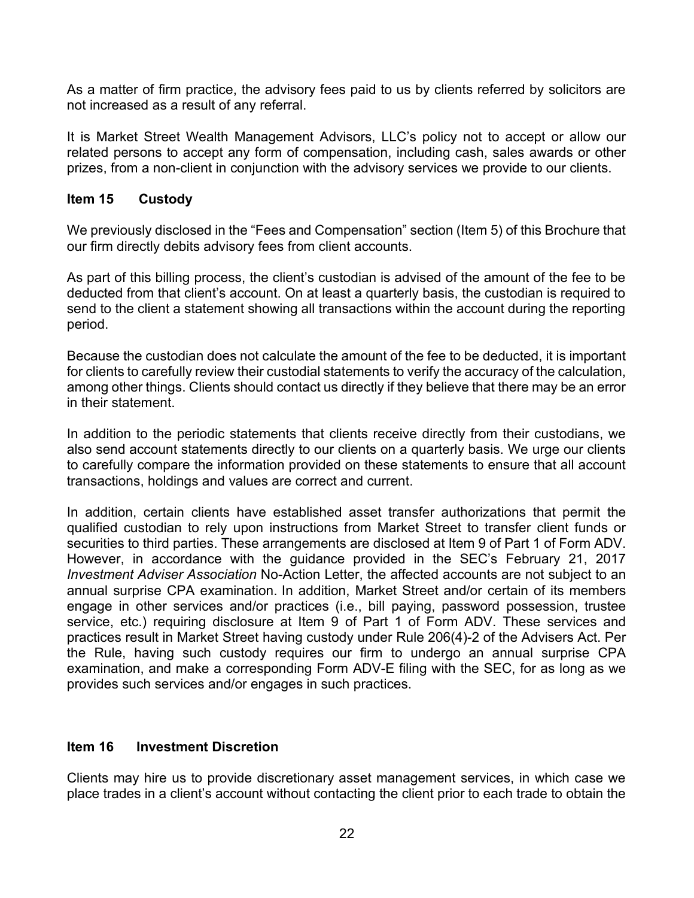As a matter of firm practice, the advisory fees paid to us by clients referred by solicitors are not increased as a result of any referral.

It is Market Street Wealth Management Advisors, LLC's policy not to accept or allow our related persons to accept any form of compensation, including cash, sales awards or other prizes, from a non-client in conjunction with the advisory services we provide to our clients.

### <span id="page-21-0"></span>**Item 15 Custody**

We previously disclosed in the "Fees and Compensation" section (Item 5) of this Brochure that our firm directly debits advisory fees from client accounts.

As part of this billing process, the client's custodian is advised of the amount of the fee to be deducted from that client's account. On at least a quarterly basis, the custodian is required to send to the client a statement showing all transactions within the account during the reporting period.

Because the custodian does not calculate the amount of the fee to be deducted, it is important for clients to carefully review their custodial statements to verify the accuracy of the calculation, among other things. Clients should contact us directly if they believe that there may be an error in their statement.

In addition to the periodic statements that clients receive directly from their custodians, we also send account statements directly to our clients on a quarterly basis. We urge our clients to carefully compare the information provided on these statements to ensure that all account transactions, holdings and values are correct and current.

In addition, certain clients have established asset transfer authorizations that permit the qualified custodian to rely upon instructions from Market Street to transfer client funds or securities to third parties. These arrangements are disclosed at Item 9 of Part 1 of Form ADV. However, in accordance with the guidance provided in the SEC's February 21, 2017 *Investment Adviser Association* No-Action Letter, the affected accounts are not subject to an annual surprise CPA examination. In addition, Market Street and/or certain of its members engage in other services and/or practices (i.e., bill paying, password possession, trustee service, etc.) requiring disclosure at Item 9 of Part 1 of Form ADV. These services and practices result in Market Street having custody under Rule 206(4)-2 of the Advisers Act. Per the Rule, having such custody requires our firm to undergo an annual surprise CPA examination, and make a corresponding Form ADV-E filing with the SEC, for as long as we provides such services and/or engages in such practices.

### <span id="page-21-1"></span>**Item 16 Investment Discretion**

Clients may hire us to provide discretionary asset management services, in which case we place trades in a client's account without contacting the client prior to each trade to obtain the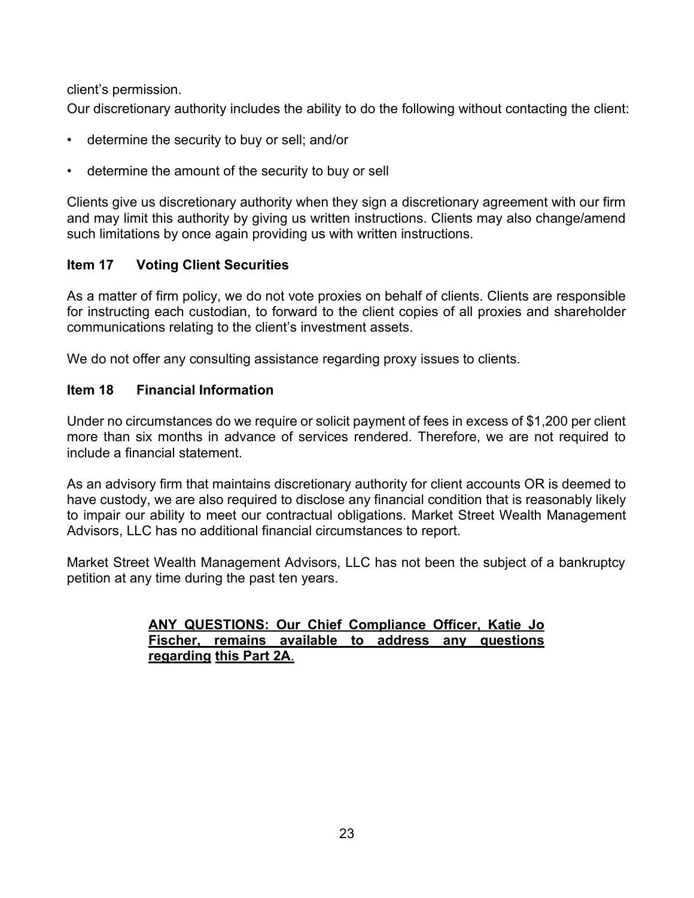client's permission.

Our discretionary authority includes the ability to do the following without contacting the client:

- determine the security to buy or sell; and/or
- determine the amount of the security to buy or sell

Clients give us discretionary authority when they sign a discretionary agreement with our firm and may limit this authority by giving us written instructions. Clients may also change/amend such limitations by once again providing us with written instructions.

### <span id="page-22-0"></span>**Item 17 Voting Client Securities**

As a matter of firm policy, we do not vote proxies on behalf of clients. Clients are responsible for instructing each custodian, to forward to the client copies of all proxies and shareholder communications relating to the client's investment assets.

We do not offer any consulting assistance regarding proxy issues to clients.

### <span id="page-22-1"></span>**Item 18 Financial Information**

Under no circumstances do we require or solicit payment of fees in excess of \$1,200 per client more than six months in advance of services rendered. Therefore, we are not required to include a financial statement.

As an advisory firm that maintains discretionary authority for client accounts OR is deemed to have custody, we are also required to disclose any financial condition that is reasonably likely to impair our ability to meet our contractual obligations. Market Street Wealth Management Advisors, LLC has no additional financial circumstances to report.

Market Street Wealth Management Advisors, LLC has not been the subject of a bankruptcy petition at any time during the past ten years.

### **ANY QUESTIONS: Our Chief Compliance Officer, Katie Jo Fischer, remains available to address any questions regarding this Part 2A**.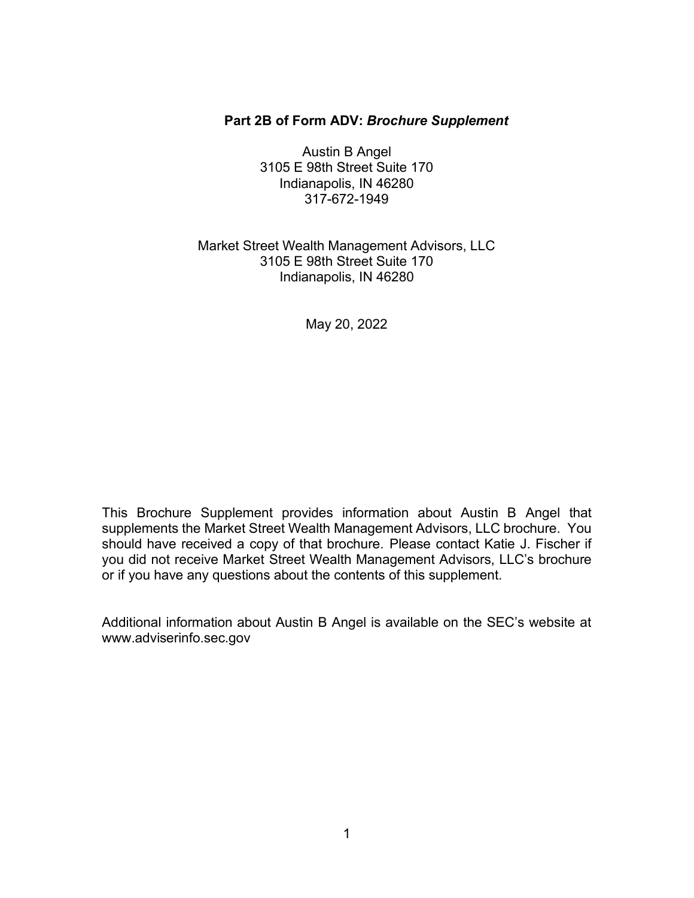### **Part 2B of Form ADV:** *Brochure Supplement*

Austin B Angel 3105 E 98th Street Suite 170 Indianapolis, IN 46280 317-672-1949

### Market Street Wealth Management Advisors, LLC 3105 E 98th Street Suite 170 Indianapolis, IN 46280

May 20, 2022

This Brochure Supplement provides information about Austin B Angel that supplements the Market Street Wealth Management Advisors, LLC brochure. You should have received a copy of that brochure. Please contact Katie J. Fischer if you did not receive Market Street Wealth Management Advisors, LLC's brochure or if you have any questions about the contents of this supplement.

Additional information about Austin B Angel is available on the SEC's website at [www.adviserinfo.sec.gov](http://www.adviserinfo.sec.gov/)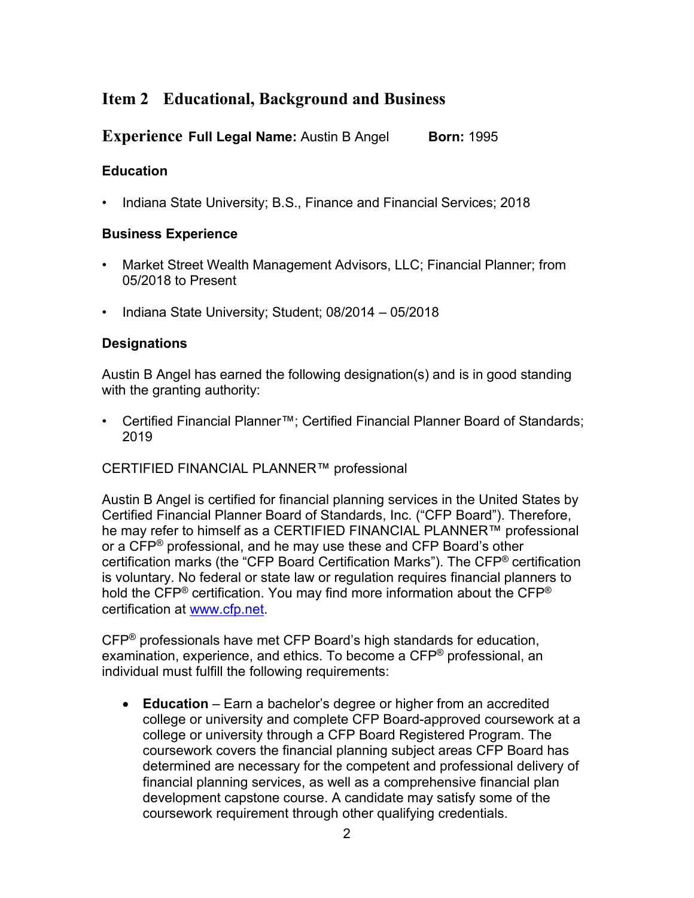# **Item 2 Educational, Background and Business**

**Experience Full Legal Name:** Austin B Angel **Born:** 1995

### **Education**

• Indiana State University; B.S., Finance and Financial Services; 2018

### **Business Experience**

- Market Street Wealth Management Advisors, LLC; Financial Planner; from 05/2018 to Present
- Indiana State University; Student; 08/2014 05/2018

### **Designations**

Austin B Angel has earned the following designation(s) and is in good standing with the granting authority:

• Certified Financial Planner™; Certified Financial Planner Board of Standards; 2019

CERTIFIED FINANCIAL PLANNER™ professional

Austin B Angel is certified for financial planning services in the United States by Certified Financial Planner Board of Standards, Inc. ("CFP Board"). Therefore, he may refer to himself as a CERTIFIED FINANCIAL PLANNER™ professional or a CFP<sup>®</sup> professional, and he may use these and CFP Board's other certification marks (the "CFP Board Certification Marks"). The CFP® certification is voluntary. No federal or state law or regulation requires financial planners to hold the CFP<sup>®</sup> certification. You may find more information about the CFP<sup>®</sup> certification at [www.cfp.net.](https://protect-us.mimecast.com/s/1HBOCqxoRqf1V6k3tXIH3k?domain=nam04.safelinks.protection.outlook.com)

CFP® professionals have met CFP Board's high standards for education, examination, experience, and ethics. To become a CFP® professional, an individual must fulfill the following requirements:

• **Education** – Earn a bachelor's degree or higher from an accredited college or university and complete CFP Board-approved coursework at a college or university through a CFP Board Registered Program. The coursework covers the financial planning subject areas CFP Board has determined are necessary for the competent and professional delivery of financial planning services, as well as a comprehensive financial plan development capstone course. A candidate may satisfy some of the coursework requirement through other qualifying credentials.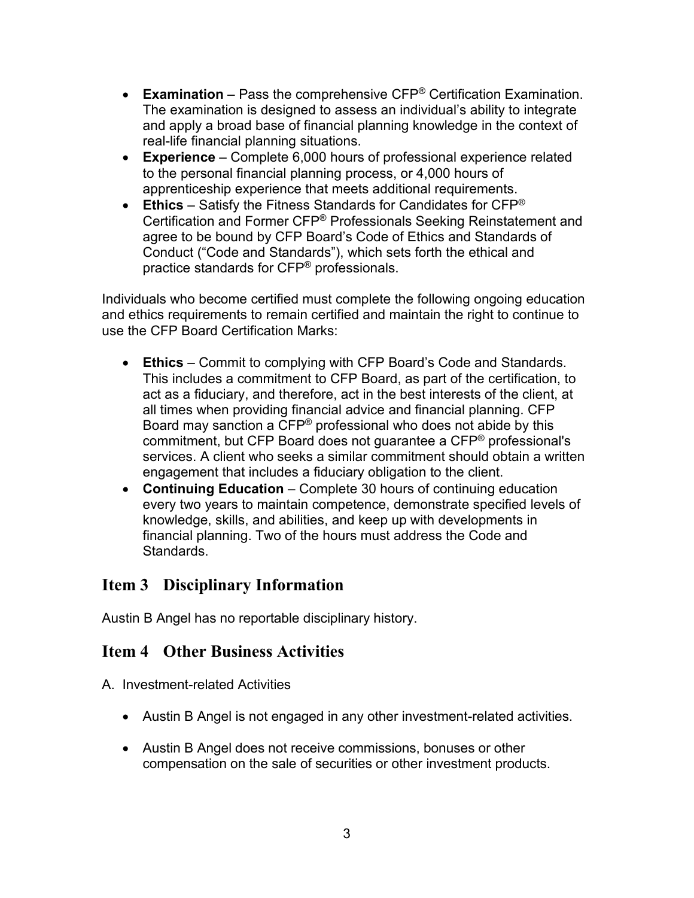- **Examination** Pass the comprehensive CFP® Certification Examination. The examination is designed to assess an individual's ability to integrate and apply a broad base of financial planning knowledge in the context of real-life financial planning situations.
- **Experience**  Complete 6,000 hours of professional experience related to the personal financial planning process, or 4,000 hours of apprenticeship experience that meets additional requirements.
- **Ethics** Satisfy the Fitness Standards for Candidates for CFP® Certification and Former CFP® Professionals Seeking Reinstatement and agree to be bound by CFP Board's Code of Ethics and Standards of Conduct ("Code and Standards"), which sets forth the ethical and practice standards for CFP® professionals.

Individuals who become certified must complete the following ongoing education and ethics requirements to remain certified and maintain the right to continue to use the CFP Board Certification Marks:

- **Ethics** Commit to complying with CFP Board's Code and Standards. This includes a commitment to CFP Board, as part of the certification, to act as a fiduciary, and therefore, act in the best interests of the client, at all times when providing financial advice and financial planning. CFP Board may sanction a CFP® professional who does not abide by this commitment, but CFP Board does not guarantee a CFP® professional's services. A client who seeks a similar commitment should obtain a written engagement that includes a fiduciary obligation to the client.
- **Continuing Education** Complete 30 hours of continuing education every two years to maintain competence, demonstrate specified levels of knowledge, skills, and abilities, and keep up with developments in financial planning. Two of the hours must address the Code and Standards.

### **Item 3 Disciplinary Information**

Austin B Angel has no reportable disciplinary history.

### **Item 4 Other Business Activities**

A. Investment-related Activities

- Austin B Angel is not engaged in any other investment-related activities.
- Austin B Angel does not receive commissions, bonuses or other compensation on the sale of securities or other investment products.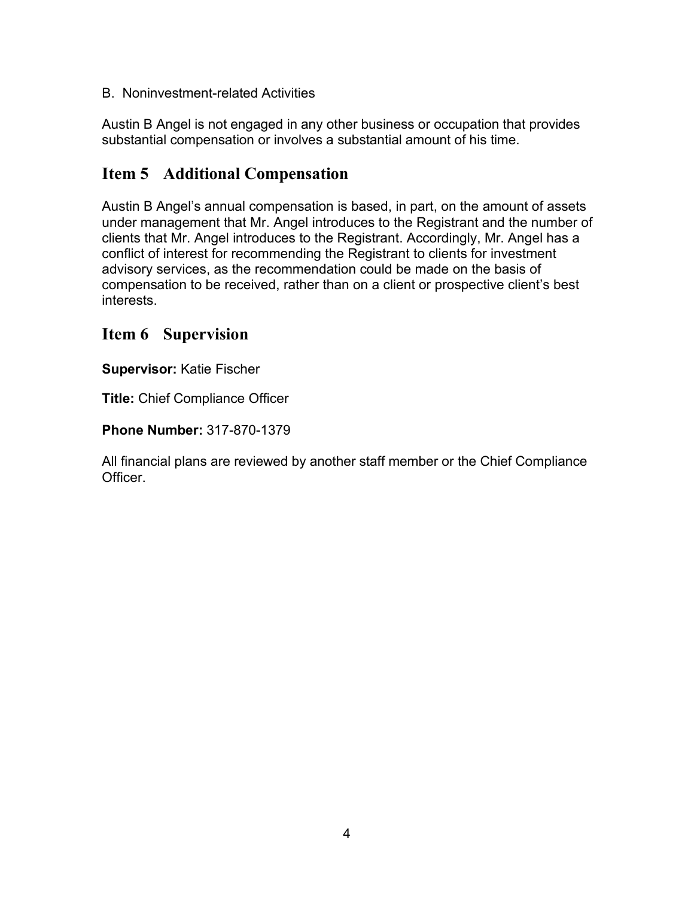B. Noninvestment-related Activities

Austin B Angel is not engaged in any other business or occupation that provides substantial compensation or involves a substantial amount of his time.

# **Item 5 Additional Compensation**

Austin B Angel's annual compensation is based, in part, on the amount of assets under management that Mr. Angel introduces to the Registrant and the number of clients that Mr. Angel introduces to the Registrant. Accordingly, Mr. Angel has a conflict of interest for recommending the Registrant to clients for investment advisory services, as the recommendation could be made on the basis of compensation to be received, rather than on a client or prospective client's best interests.

### **Item 6 Supervision**

**Supervisor:** Katie Fischer

**Title:** Chief Compliance Officer

**Phone Number:** 317-870-1379

All financial plans are reviewed by another staff member or the Chief Compliance Officer.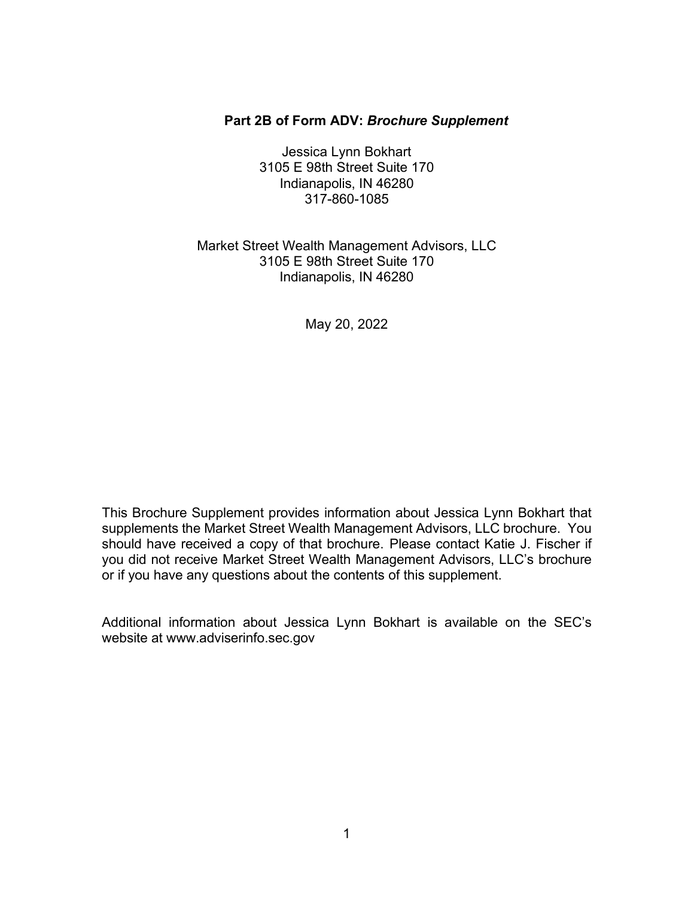#### **Part 2B of Form ADV:** *Brochure Supplement*

Jessica Lynn Bokhart 3105 E 98th Street Suite 170 Indianapolis, IN 46280 317-860-1085

### Market Street Wealth Management Advisors, LLC 3105 E 98th Street Suite 170 Indianapolis, IN 46280

May 20, 2022

This Brochure Supplement provides information about Jessica Lynn Bokhart that supplements the Market Street Wealth Management Advisors, LLC brochure. You should have received a copy of that brochure. Please contact Katie J. Fischer if you did not receive Market Street Wealth Management Advisors, LLC's brochure or if you have any questions about the contents of this supplement.

Additional information about Jessica Lynn Bokhart is available on the SEC's website at [www.adviserinfo.sec.gov](http://www.adviserinfo.sec.gov/)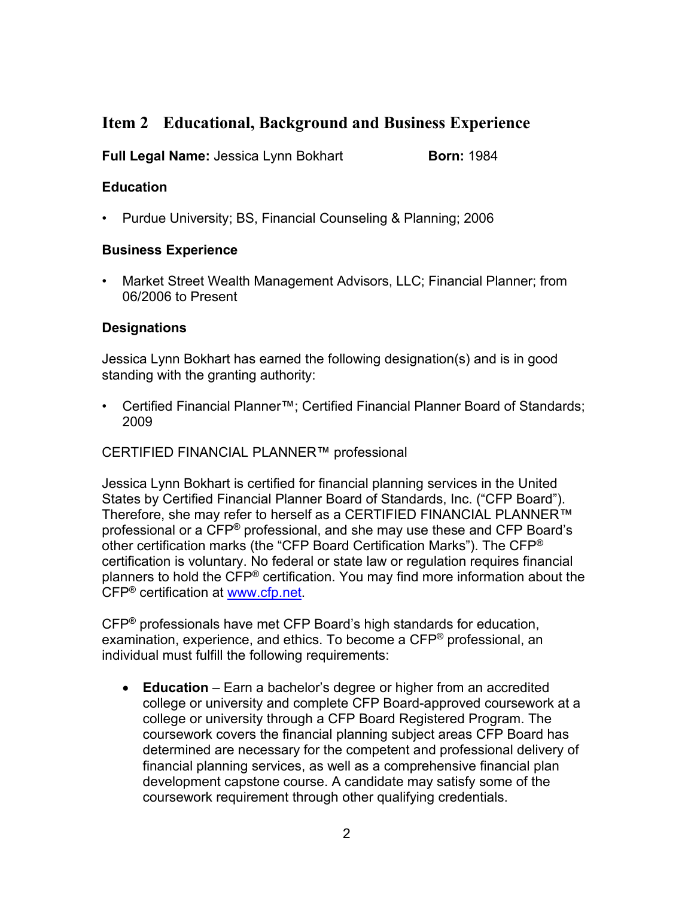# **Item 2 Educational, Background and Business Experience**

**Full Legal Name:** Jessica Lynn Bokhart **Born:** 1984

### **Education**

• Purdue University; BS, Financial Counseling & Planning; 2006

### **Business Experience**

• Market Street Wealth Management Advisors, LLC; Financial Planner; from 06/2006 to Present

### **Designations**

Jessica Lynn Bokhart has earned the following designation(s) and is in good standing with the granting authority:

• Certified Financial Planner™; Certified Financial Planner Board of Standards; 2009

### CERTIFIED FINANCIAL PLANNER™ professional

Jessica Lynn Bokhart is certified for financial planning services in the United States by Certified Financial Planner Board of Standards, Inc. ("CFP Board"). Therefore, she may refer to herself as a CERTIFIED FINANCIAL PLANNER™ professional or a CFP® professional, and she may use these and CFP Board's other certification marks (the "CFP Board Certification Marks"). The CFP® certification is voluntary. No federal or state law or regulation requires financial planners to hold the CFP® certification. You may find more information about the CFP® certification at [www.cfp.net.](https://protect-us.mimecast.com/s/1HBOCqxoRqf1V6k3tXIH3k?domain=nam04.safelinks.protection.outlook.com)

CFP® professionals have met CFP Board's high standards for education, examination, experience, and ethics. To become a CFP® professional, an individual must fulfill the following requirements:

• **Education** – Earn a bachelor's degree or higher from an accredited college or university and complete CFP Board-approved coursework at a college or university through a CFP Board Registered Program. The coursework covers the financial planning subject areas CFP Board has determined are necessary for the competent and professional delivery of financial planning services, as well as a comprehensive financial plan development capstone course. A candidate may satisfy some of the coursework requirement through other qualifying credentials.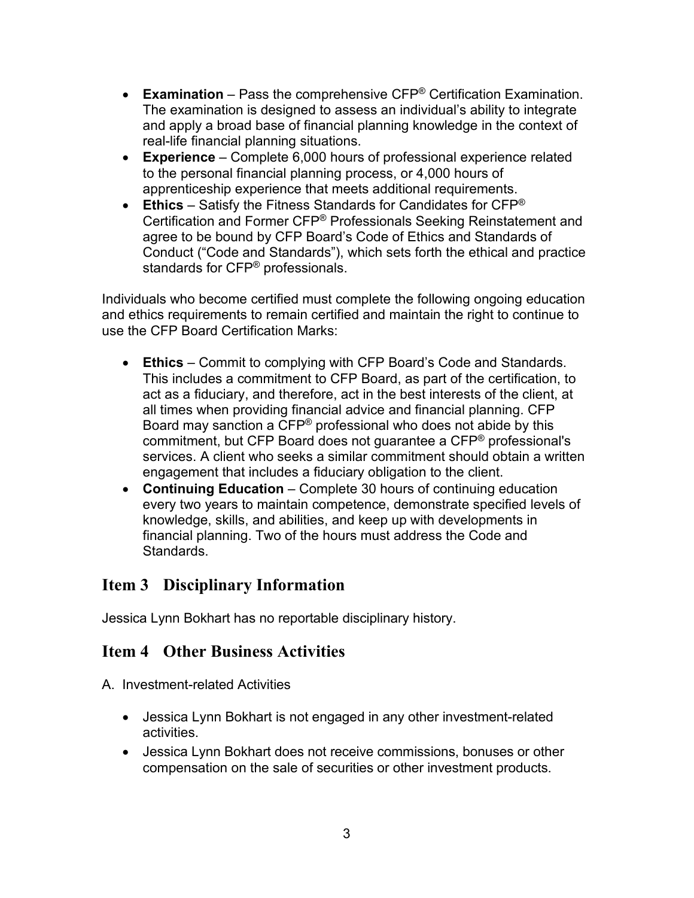- **Examination** Pass the comprehensive CFP® Certification Examination. The examination is designed to assess an individual's ability to integrate and apply a broad base of financial planning knowledge in the context of real-life financial planning situations.
- **Experience**  Complete 6,000 hours of professional experience related to the personal financial planning process, or 4,000 hours of apprenticeship experience that meets additional requirements.
- **Ethics** Satisfy the Fitness Standards for Candidates for CFP® Certification and Former CFP® Professionals Seeking Reinstatement and agree to be bound by CFP Board's Code of Ethics and Standards of Conduct ("Code and Standards"), which sets forth the ethical and practice standards for CFP® professionals.

Individuals who become certified must complete the following ongoing education and ethics requirements to remain certified and maintain the right to continue to use the CFP Board Certification Marks:

- **Ethics** Commit to complying with CFP Board's Code and Standards. This includes a commitment to CFP Board, as part of the certification, to act as a fiduciary, and therefore, act in the best interests of the client, at all times when providing financial advice and financial planning. CFP Board may sanction a CFP® professional who does not abide by this commitment, but CFP Board does not guarantee a CFP® professional's services. A client who seeks a similar commitment should obtain a written engagement that includes a fiduciary obligation to the client.
- **Continuing Education** Complete 30 hours of continuing education every two years to maintain competence, demonstrate specified levels of knowledge, skills, and abilities, and keep up with developments in financial planning. Two of the hours must address the Code and Standards.

# **Item 3 Disciplinary Information**

Jessica Lynn Bokhart has no reportable disciplinary history.

# **Item 4 Other Business Activities**

- A. Investment-related Activities
	- Jessica Lynn Bokhart is not engaged in any other investment-related activities.
	- Jessica Lynn Bokhart does not receive commissions, bonuses or other compensation on the sale of securities or other investment products.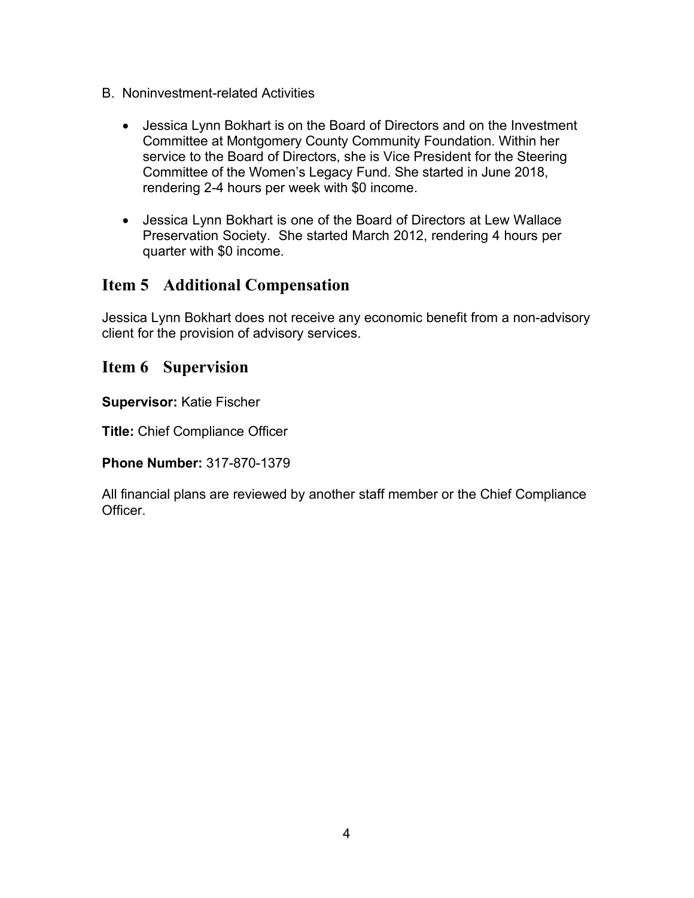- B. Noninvestment-related Activities
	- Jessica Lynn Bokhart is on the Board of Directors and on the Investment Committee at Montgomery County Community Foundation. Within her service to the Board of Directors, she is Vice President for the Steering Committee of the Women's Legacy Fund. She started in June 2018, rendering 2-4 hours per week with \$0 income.
	- Jessica Lynn Bokhart is one of the Board of Directors at Lew Wallace Preservation Society. She started March 2012, rendering 4 hours per quarter with \$0 income.

### **Item 5 Additional Compensation**

Jessica Lynn Bokhart does not receive any economic benefit from a non-advisory client for the provision of advisory services.

### **Item 6 Supervision**

**Supervisor:** Katie Fischer

**Title:** Chief Compliance Officer

**Phone Number:** 317-870-1379

All financial plans are reviewed by another staff member or the Chief Compliance **Officer**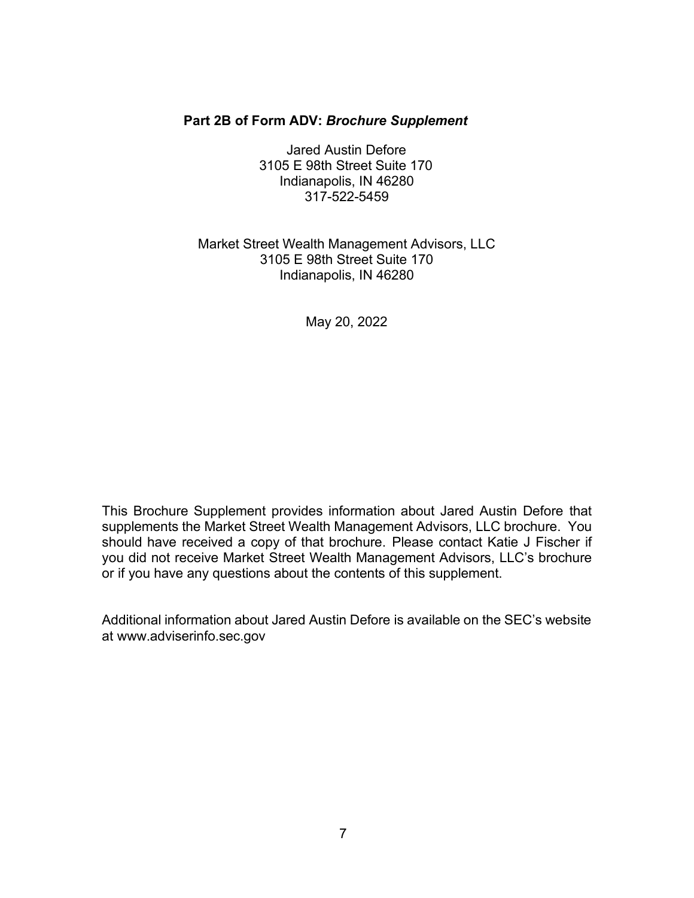#### **Part 2B of Form ADV:** *Brochure Supplement*

Jared Austin Defore 3105 E 98th Street Suite 170 Indianapolis, IN 46280 317-522-5459

### Market Street Wealth Management Advisors, LLC 3105 E 98th Street Suite 170 Indianapolis, IN 46280

May 20, 2022

This Brochure Supplement provides information about Jared Austin Defore that supplements the Market Street Wealth Management Advisors, LLC brochure. You should have received a copy of that brochure. Please contact Katie J Fischer if you did not receive Market Street Wealth Management Advisors, LLC's brochure or if you have any questions about the contents of this supplement.

Additional information about Jared Austin Defore is available on the SEC's website [at www.adviserinfo.sec.gov](http://www.adviserinfo.sec.gov/)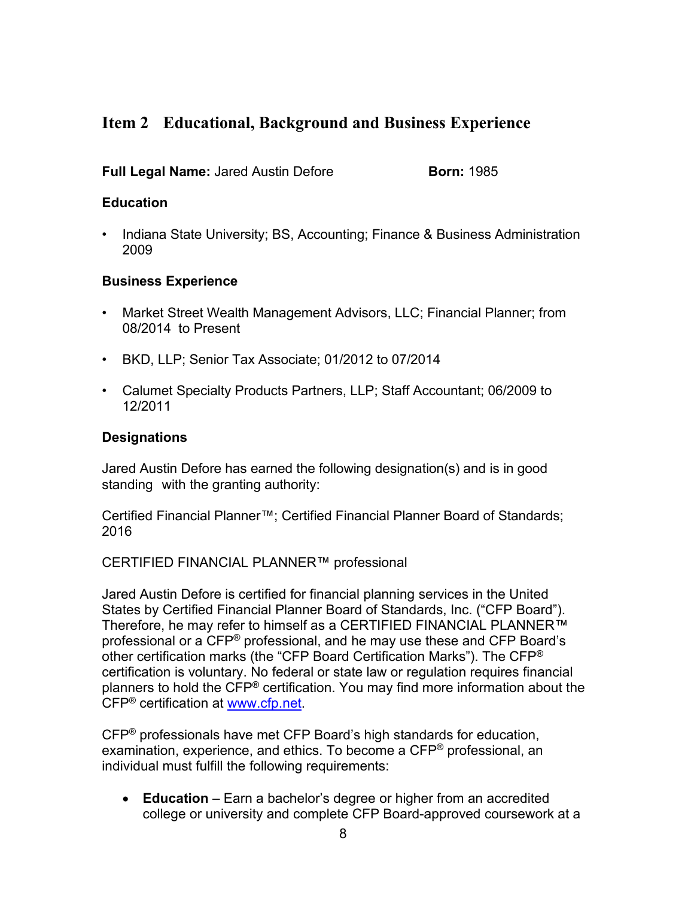# **Item 2 Educational, Background and Business Experience**

### **Full Legal Name:** Jared Austin Defore **Born: 1985**

### **Education**

• Indiana State University; BS, Accounting; Finance & Business Administration 2009

### **Business Experience**

- Market Street Wealth Management Advisors, LLC; Financial Planner; from 08/2014 to Present
- BKD, LLP; Senior Tax Associate; 01/2012 to 07/2014
- Calumet Specialty Products Partners, LLP; Staff Accountant; 06/2009 to 12/2011

### **Designations**

Jared Austin Defore has earned the following designation(s) and is in good standing with the granting authority:

Certified Financial Planner™; Certified Financial Planner Board of Standards; 2016

CERTIFIED FINANCIAL PLANNER™ professional

Jared Austin Defore is certified for financial planning services in the United States by Certified Financial Planner Board of Standards, Inc. ("CFP Board"). Therefore, he may refer to himself as a CERTIFIED FINANCIAL PLANNER™ professional or a CFP® professional, and he may use these and CFP Board's other certification marks (the "CFP Board Certification Marks"). The CFP® certification is voluntary. No federal or state law or regulation requires financial planners to hold the CFP® certification. You may find more information about the CFP® certification at [www.cfp.net.](https://protect-us.mimecast.com/s/1HBOCqxoRqf1V6k3tXIH3k?domain=nam04.safelinks.protection.outlook.com)

CFP® professionals have met CFP Board's high standards for education, examination, experience, and ethics. To become a CFP® professional, an individual must fulfill the following requirements:

• **Education** – Earn a bachelor's degree or higher from an accredited college or university and complete CFP Board-approved coursework at a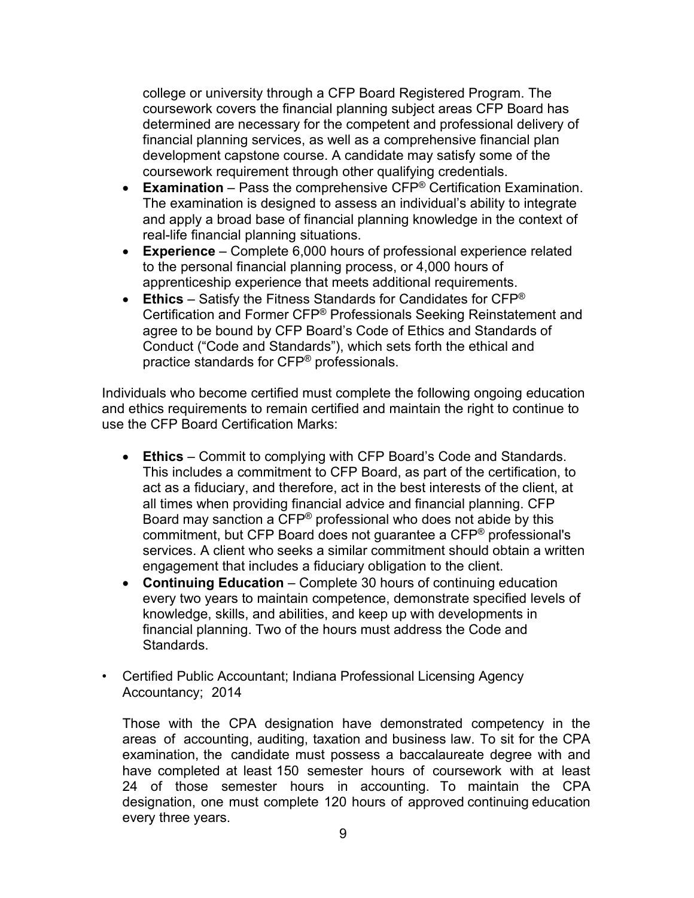college or university through a CFP Board Registered Program. The coursework covers the financial planning subject areas CFP Board has determined are necessary for the competent and professional delivery of financial planning services, as well as a comprehensive financial plan development capstone course. A candidate may satisfy some of the coursework requirement through other qualifying credentials.

- **Examination** Pass the comprehensive CFP® Certification Examination. The examination is designed to assess an individual's ability to integrate and apply a broad base of financial planning knowledge in the context of real-life financial planning situations.
- **Experience**  Complete 6,000 hours of professional experience related to the personal financial planning process, or 4,000 hours of apprenticeship experience that meets additional requirements.
- **Ethics** Satisfy the Fitness Standards for Candidates for CFP® Certification and Former CFP® Professionals Seeking Reinstatement and agree to be bound by CFP Board's Code of Ethics and Standards of Conduct ("Code and Standards"), which sets forth the ethical and practice standards for CFP® professionals.

Individuals who become certified must complete the following ongoing education and ethics requirements to remain certified and maintain the right to continue to use the CFP Board Certification Marks:

- **Ethics** Commit to complying with CFP Board's Code and Standards. This includes a commitment to CFP Board, as part of the certification, to act as a fiduciary, and therefore, act in the best interests of the client, at all times when providing financial advice and financial planning. CFP Board may sanction a CFP® professional who does not abide by this commitment, but CFP Board does not guarantee a CFP® professional's services. A client who seeks a similar commitment should obtain a written engagement that includes a fiduciary obligation to the client.
- **Continuing Education** Complete 30 hours of continuing education every two years to maintain competence, demonstrate specified levels of knowledge, skills, and abilities, and keep up with developments in financial planning. Two of the hours must address the Code and **Standards**
- Certified Public Accountant; Indiana Professional Licensing Agency Accountancy; 2014

Those with the CPA designation have demonstrated competency in the areas of accounting, auditing, taxation and business law. To sit for the CPA examination, the candidate must possess a baccalaureate degree with and have completed at least 150 semester hours of coursework with at least 24 of those semester hours in accounting. To maintain the CPA designation, one must complete 120 hours of approved continuing education every three years.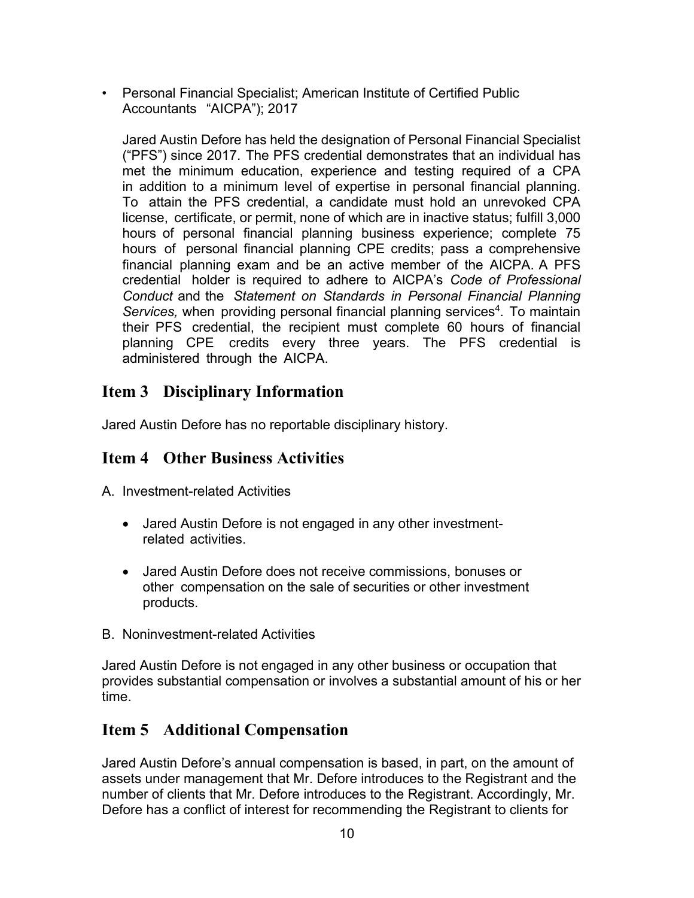• Personal Financial Specialist; American Institute of Certified Public Accountants "AICPA"); 2017

Jared Austin Defore has held the designation of Personal Financial Specialist ("PFS") since 2017. The PFS credential demonstrates that an individual has met the minimum education, experience and testing required of a CPA in addition to a minimum level of expertise in personal financial planning. To attain the PFS credential, a candidate must hold an unrevoked CPA license, certificate, or permit, none of which are in inactive status; fulfill 3,000 hours of personal financial planning business experience; complete 75 hours of personal financial planning CPE credits; pass a comprehensive financial planning exam and be an active member of the AICPA. A PFS credential holder is required to adhere to AICPA's *Code of Professional Conduct* and the *Statement on Standards in Personal Financial Planning Services,* when providing personal financial planning services<sup>4</sup>. To maintain their PFS credential, the recipient must complete 60 hours of financial planning CPE credits every three years. The PFS credential is administered through the AICPA.

# **Item 3 Disciplinary Information**

Jared Austin Defore has no reportable disciplinary history.

### **Item 4 Other Business Activities**

A. Investment-related Activities

- Jared Austin Defore is not engaged in any other investmentrelated activities.
- Jared Austin Defore does not receive commissions, bonuses or other compensation on the sale of securities or other investment products.
- B. Noninvestment-related Activities

Jared Austin Defore is not engaged in any other business or occupation that provides substantial compensation or involves a substantial amount of his or her time.

### **Item 5 Additional Compensation**

Jared Austin Defore's annual compensation is based, in part, on the amount of assets under management that Mr. Defore introduces to the Registrant and the number of clients that Mr. Defore introduces to the Registrant. Accordingly, Mr. Defore has a conflict of interest for recommending the Registrant to clients for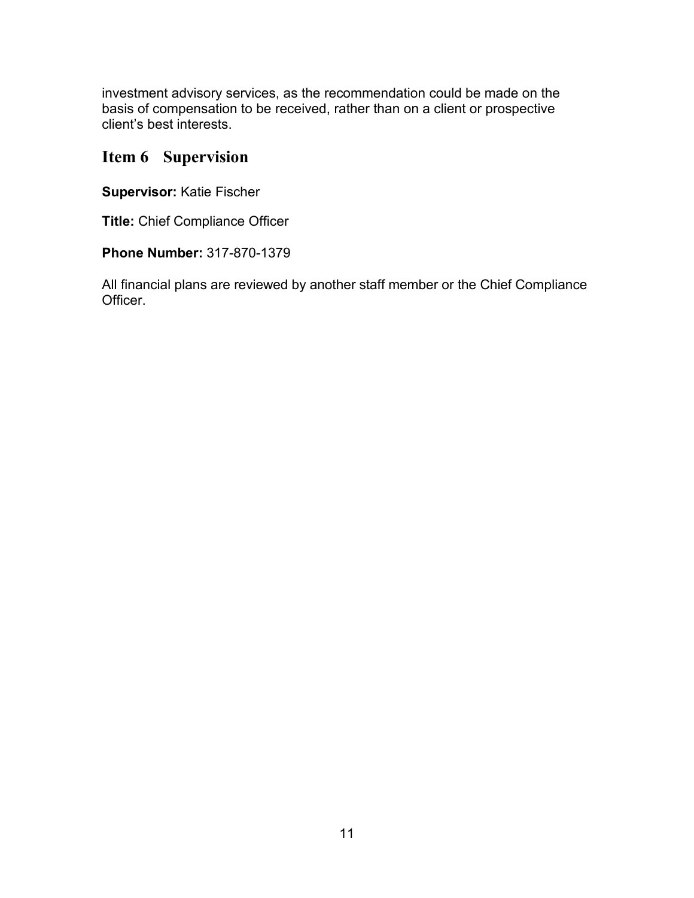investment advisory services, as the recommendation could be made on the basis of compensation to be received, rather than on a client or prospective client's best interests.

### **Item 6 Supervision**

**Supervisor:** Katie Fischer

**Title:** Chief Compliance Officer

**Phone Number:** 317-870-1379

All financial plans are reviewed by another staff member or the Chief Compliance Officer.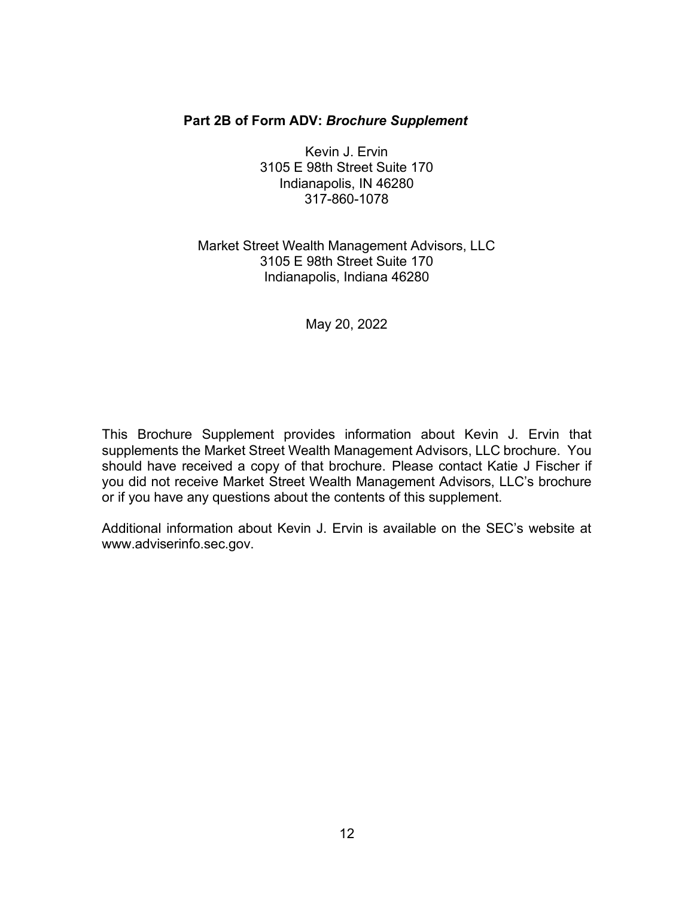#### **Part 2B of Form ADV:** *Brochure Supplement*

Kevin J. Ervin 3105 E 98th Street Suite 170 Indianapolis, IN 46280 317-860-1078

### Market Street Wealth Management Advisors, LLC 3105 E 98th Street Suite 170 Indianapolis, Indiana 46280

#### May 20, 2022

This Brochure Supplement provides information about Kevin J. Ervin that supplements the Market Street Wealth Management Advisors, LLC brochure. You should have received a copy of that brochure. Please contact Katie J Fischer if you did not receive Market Street Wealth Management Advisors, LLC's brochure or if you have any questions about the contents of this supplement.

Additional information about Kevin J. Ervin is available on the SEC's website at [www.adviserinfo.sec.gov.](http://www.adviserinfo.sec.gov/)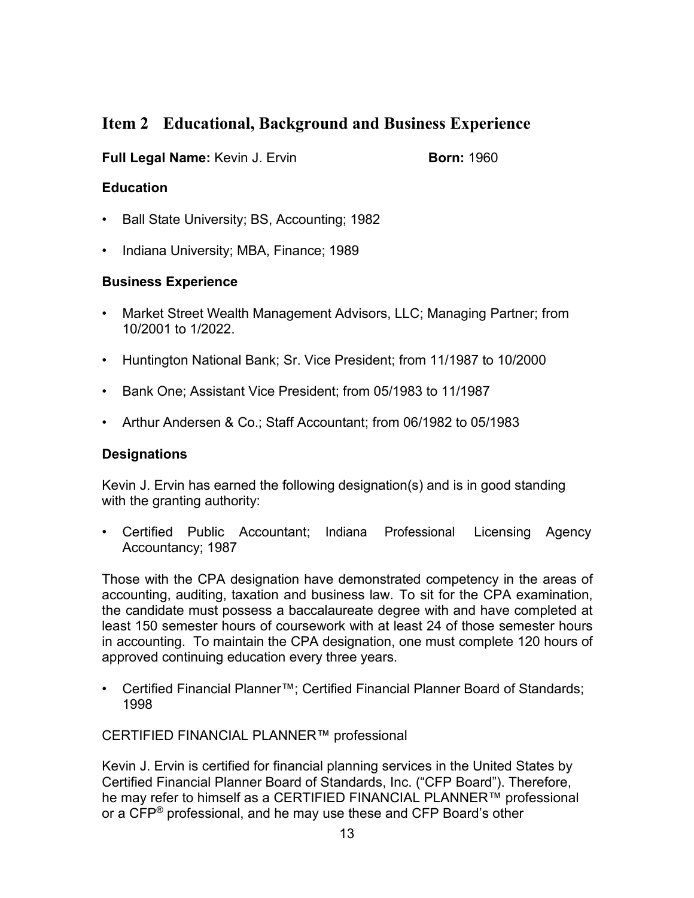# **Item 2 Educational, Background and Business Experience**

### **Full Legal Name:** Kevin J. Ervin **Born: 1960**

### **Education**

- Ball State University; BS, Accounting; 1982
- Indiana University; MBA, Finance; 1989

### **Business Experience**

- Market Street Wealth Management Advisors, LLC; Managing Partner; from 10/2001 to 1/2022.
- Huntington National Bank; Sr. Vice President; from 11/1987 to 10/2000
- Bank One; Assistant Vice President; from 05/1983 to 11/1987
- Arthur Andersen & Co.; Staff Accountant; from 06/1982 to 05/1983

### **Designations**

Kevin J. Ervin has earned the following designation(s) and is in good standing with the granting authority:

• Certified Public Accountant; Indiana Professional Licensing Agency Accountancy; 1987

Those with the CPA designation have demonstrated competency in the areas of accounting, auditing, taxation and business law. To sit for the CPA examination, the candidate must possess a baccalaureate degree with and have completed at least 150 semester hours of coursework with at least 24 of those semester hours in accounting. To maintain the CPA designation, one must complete 120 hours of approved continuing education every three years.

• Certified Financial Planner™; Certified Financial Planner Board of Standards; 1998

CERTIFIED FINANCIAL PLANNER™ professional

Kevin J. Ervin is certified for financial planning services in the United States by Certified Financial Planner Board of Standards, Inc. ("CFP Board"). Therefore, he may refer to himself as a CERTIFIED FINANCIAL PLANNER™ professional or a CFP<sup>®</sup> professional, and he may use these and CFP Board's other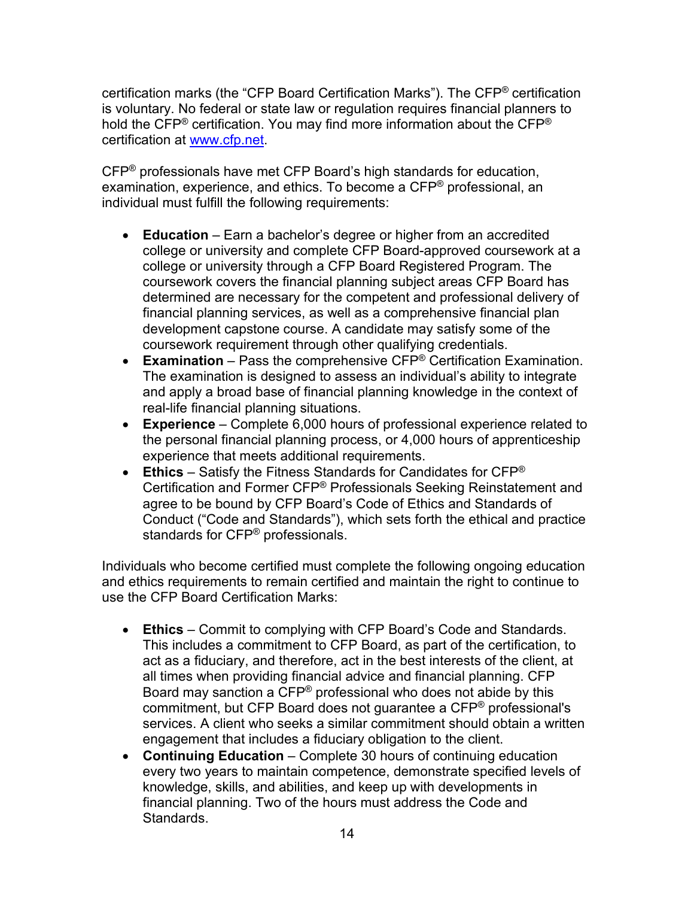certification marks (the "CFP Board Certification Marks"). The CFP® certification is voluntary. No federal or state law or regulation requires financial planners to hold the CFP<sup>®</sup> certification. You may find more information about the CFP<sup>®</sup> certification at [www.cfp.net.](https://protect-us.mimecast.com/s/1HBOCqxoRqf1V6k3tXIH3k?domain=nam04.safelinks.protection.outlook.com)

CFP® professionals have met CFP Board's high standards for education, examination, experience, and ethics. To become a CFP® professional, an individual must fulfill the following requirements:

- **Education** Earn a bachelor's degree or higher from an accredited college or university and complete CFP Board-approved coursework at a college or university through a CFP Board Registered Program. The coursework covers the financial planning subject areas CFP Board has determined are necessary for the competent and professional delivery of financial planning services, as well as a comprehensive financial plan development capstone course. A candidate may satisfy some of the coursework requirement through other qualifying credentials.
- **Examination** Pass the comprehensive CFP® Certification Examination. The examination is designed to assess an individual's ability to integrate and apply a broad base of financial planning knowledge in the context of real-life financial planning situations.
- **Experience**  Complete 6,000 hours of professional experience related to the personal financial planning process, or 4,000 hours of apprenticeship experience that meets additional requirements.
- **Ethics** Satisfy the Fitness Standards for Candidates for CFP® Certification and Former CFP® Professionals Seeking Reinstatement and agree to be bound by CFP Board's Code of Ethics and Standards of Conduct ("Code and Standards"), which sets forth the ethical and practice standards for CFP® professionals.

Individuals who become certified must complete the following ongoing education and ethics requirements to remain certified and maintain the right to continue to use the CFP Board Certification Marks:

- **Ethics** Commit to complying with CFP Board's Code and Standards. This includes a commitment to CFP Board, as part of the certification, to act as a fiduciary, and therefore, act in the best interests of the client, at all times when providing financial advice and financial planning. CFP Board may sanction a CFP® professional who does not abide by this commitment, but CFP Board does not guarantee a CFP® professional's services. A client who seeks a similar commitment should obtain a written engagement that includes a fiduciary obligation to the client.
- **Continuing Education** Complete 30 hours of continuing education every two years to maintain competence, demonstrate specified levels of knowledge, skills, and abilities, and keep up with developments in financial planning. Two of the hours must address the Code and Standards.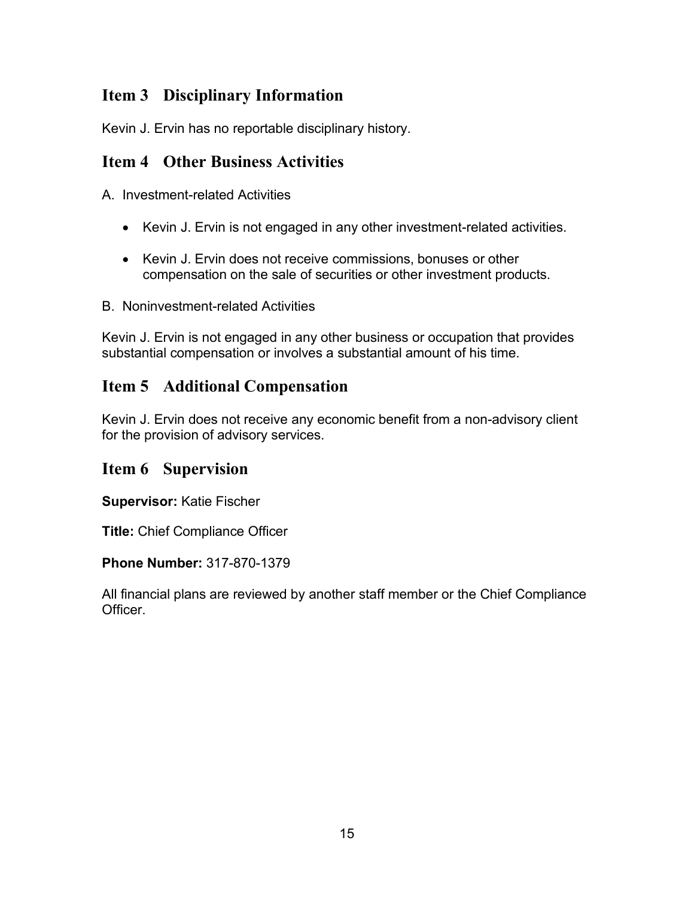# **Item 3 Disciplinary Information**

Kevin J. Ervin has no reportable disciplinary history.

# **Item 4 Other Business Activities**

A. Investment-related Activities

- Kevin J. Ervin is not engaged in any other investment-related activities.
- Kevin J. Ervin does not receive commissions, bonuses or other compensation on the sale of securities or other investment products.
- B. Noninvestment-related Activities

Kevin J. Ervin is not engaged in any other business or occupation that provides substantial compensation or involves a substantial amount of his time.

# **Item 5 Additional Compensation**

Kevin J. Ervin does not receive any economic benefit from a non-advisory client for the provision of advisory services.

# **Item 6 Supervision**

**Supervisor:** Katie Fischer

**Title:** Chief Compliance Officer

### **Phone Number:** 317-870-1379

All financial plans are reviewed by another staff member or the Chief Compliance Officer.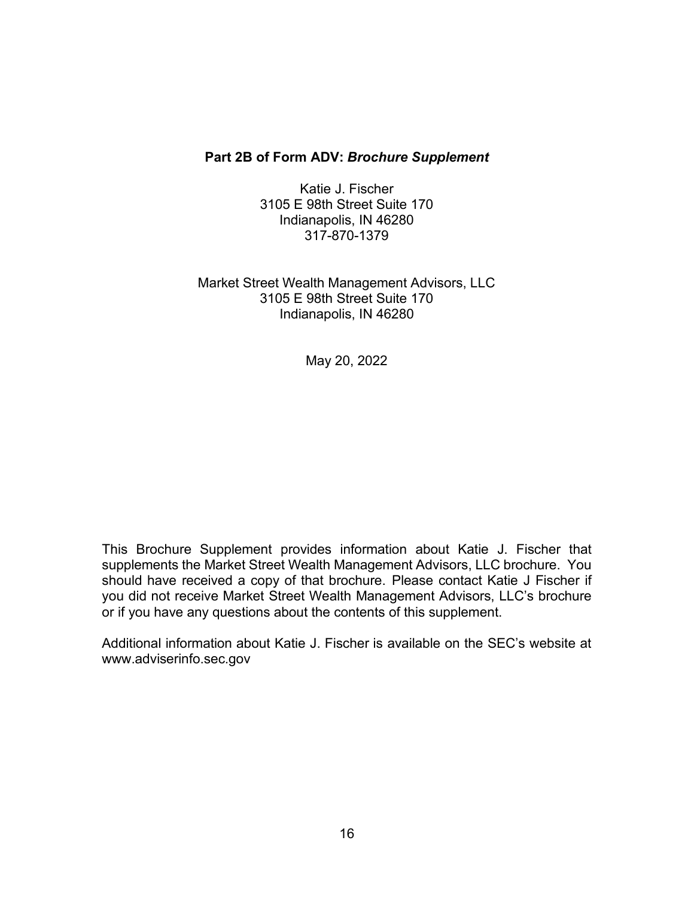#### **Part 2B of Form ADV:** *Brochure Supplement*

Katie J. Fischer 3105 E 98th Street Suite 170 Indianapolis, IN 46280 317-870-1379

Market Street Wealth Management Advisors, LLC 3105 E 98th Street Suite 170 Indianapolis, IN 46280

May 20, 2022

This Brochure Supplement provides information about Katie J. Fischer that supplements the Market Street Wealth Management Advisors, LLC brochure. You should have received a copy of that brochure. Please contact Katie J Fischer if you did not receive Market Street Wealth Management Advisors, LLC's brochure or if you have any questions about the contents of this supplement.

Additional information about Katie J. Fischer is available on the SEC's website at [www.adviserinfo.sec.gov](http://www.adviserinfo.sec.gov/)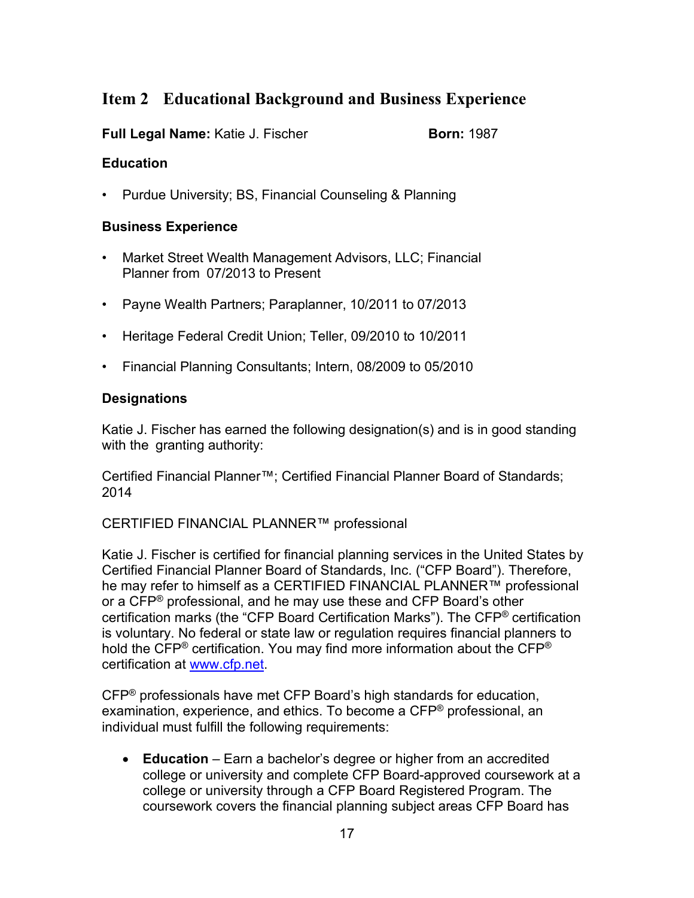# **Item 2 Educational Background and Business Experience**

### **Full Legal Name:** Katie J. Fischer **Born: 1987**

### **Education**

• Purdue University; BS, Financial Counseling & Planning

#### **Business Experience**

- Market Street Wealth Management Advisors, LLC; Financial Planner from 07/2013 to Present
- Payne Wealth Partners; Paraplanner, 10/2011 to 07/2013
- Heritage Federal Credit Union; Teller, 09/2010 to 10/2011
- Financial Planning Consultants; Intern, 08/2009 to 05/2010

### **Designations**

Katie J. Fischer has earned the following designation(s) and is in good standing with the granting authority:

Certified Financial Planner™; Certified Financial Planner Board of Standards; 2014

CERTIFIED FINANCIAL PLANNER™ professional

Katie J. Fischer is certified for financial planning services in the United States by Certified Financial Planner Board of Standards, Inc. ("CFP Board"). Therefore, he may refer to himself as a CERTIFIED FINANCIAL PLANNER™ professional or a CFP® professional, and he may use these and CFP Board's other certification marks (the "CFP Board Certification Marks"). The CFP® certification is voluntary. No federal or state law or regulation requires financial planners to hold the CFP<sup>®</sup> certification. You may find more information about the CFP<sup>®</sup> certification at [www.cfp.net.](https://protect-us.mimecast.com/s/1HBOCqxoRqf1V6k3tXIH3k?domain=nam04.safelinks.protection.outlook.com)

CFP® professionals have met CFP Board's high standards for education, examination, experience, and ethics. To become a CFP® professional, an individual must fulfill the following requirements:

• **Education** – Earn a bachelor's degree or higher from an accredited college or university and complete CFP Board-approved coursework at a college or university through a CFP Board Registered Program. The coursework covers the financial planning subject areas CFP Board has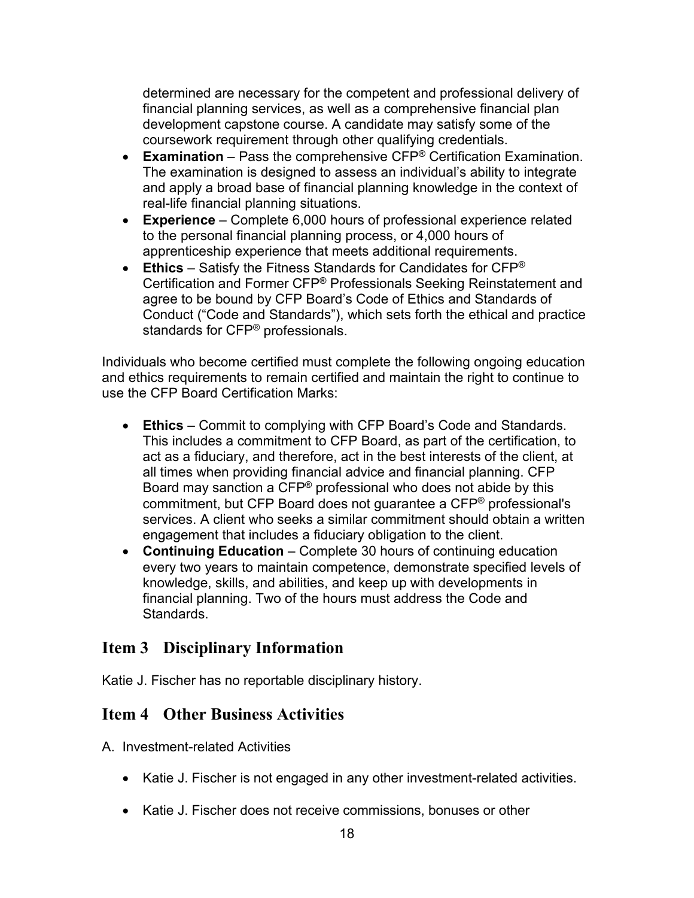determined are necessary for the competent and professional delivery of financial planning services, as well as a comprehensive financial plan development capstone course. A candidate may satisfy some of the coursework requirement through other qualifying credentials.

- **Examination** Pass the comprehensive CFP® Certification Examination. The examination is designed to assess an individual's ability to integrate and apply a broad base of financial planning knowledge in the context of real-life financial planning situations.
- **Experience**  Complete 6,000 hours of professional experience related to the personal financial planning process, or 4,000 hours of apprenticeship experience that meets additional requirements.
- **Ethics** Satisfy the Fitness Standards for Candidates for CFP® Certification and Former CFP® Professionals Seeking Reinstatement and agree to be bound by CFP Board's Code of Ethics and Standards of Conduct ("Code and Standards"), which sets forth the ethical and practice standards for CFP® professionals.

Individuals who become certified must complete the following ongoing education and ethics requirements to remain certified and maintain the right to continue to use the CFP Board Certification Marks:

- **Ethics** Commit to complying with CFP Board's Code and Standards. This includes a commitment to CFP Board, as part of the certification, to act as a fiduciary, and therefore, act in the best interests of the client, at all times when providing financial advice and financial planning. CFP Board may sanction a CFP® professional who does not abide by this commitment, but CFP Board does not guarantee a CFP® professional's services. A client who seeks a similar commitment should obtain a written engagement that includes a fiduciary obligation to the client.
- **Continuing Education** Complete 30 hours of continuing education every two years to maintain competence, demonstrate specified levels of knowledge, skills, and abilities, and keep up with developments in financial planning. Two of the hours must address the Code and **Standards**

### **Item 3 Disciplinary Information**

Katie J. Fischer has no reportable disciplinary history.

### **Item 4 Other Business Activities**

A. Investment-related Activities

- Katie J. Fischer is not engaged in any other investment-related activities.
- Katie J. Fischer does not receive commissions, bonuses or other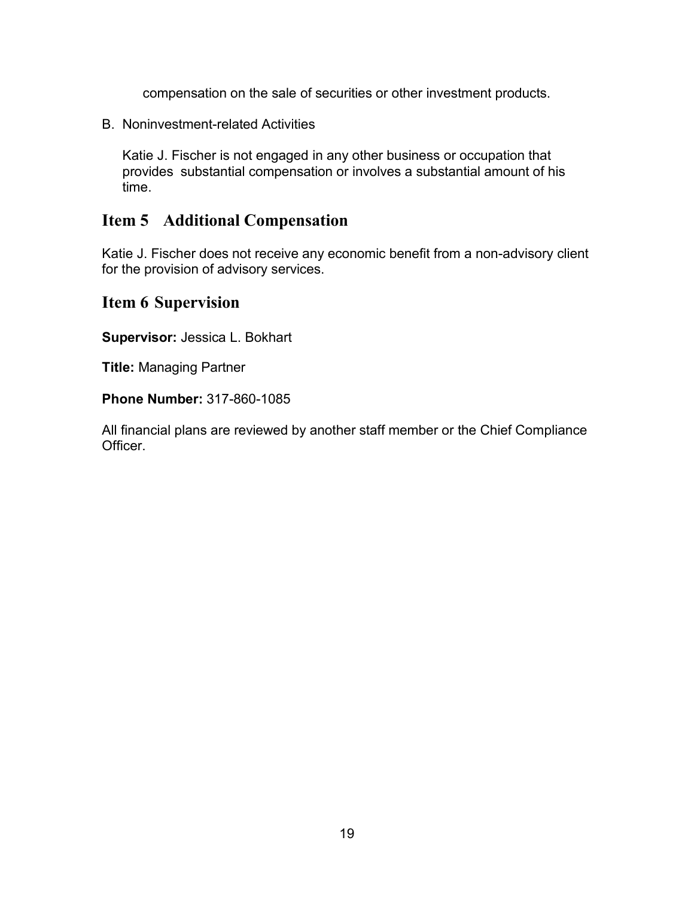compensation on the sale of securities or other investment products.

B. Noninvestment-related Activities

Katie J. Fischer is not engaged in any other business or occupation that provides substantial compensation or involves a substantial amount of his time.

### **Item 5 Additional Compensation**

Katie J. Fischer does not receive any economic benefit from a non-advisory client for the provision of advisory services.

### **Item 6 Supervision**

**Supervisor:** Jessica L. Bokhart

**Title:** Managing Partner

**Phone Number:** 317-860-1085

All financial plans are reviewed by another staff member or the Chief Compliance Officer.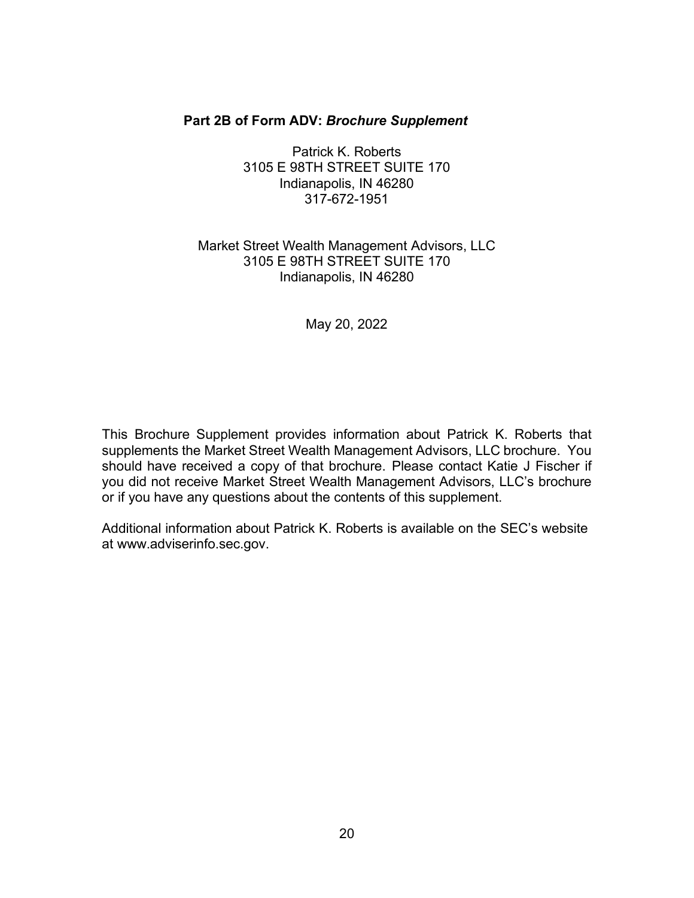#### **Part 2B of Form ADV:** *Brochure Supplement*

Patrick K. Roberts 3105 E 98TH STREET SUITE 170 Indianapolis, IN 46280 317-672-1951

### Market Street Wealth Management Advisors, LLC 3105 E 98TH STREET SUITE 170 Indianapolis, IN 46280

May 20, 2022

This Brochure Supplement provides information about Patrick K. Roberts that supplements the Market Street Wealth Management Advisors, LLC brochure. You should have received a copy of that brochure. Please contact Katie J Fischer if you did not receive Market Street Wealth Management Advisors, LLC's brochure or if you have any questions about the contents of this supplement.

Additional information about Patrick K. Roberts is available on the SEC's website [at www.adviserinfo.sec.gov.](http://www.adviserinfo.sec.gov/)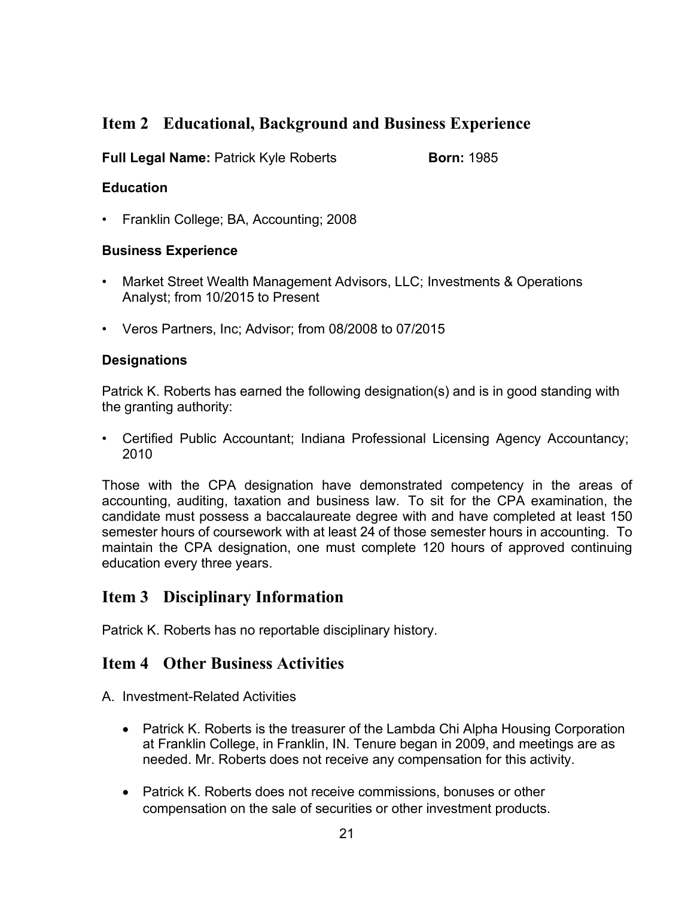# **Item 2 Educational, Background and Business Experience**

**Full Legal Name:** Patrick Kyle Roberts **Born: 1985** 

### **Education**

• Franklin College; BA, Accounting; 2008

### **Business Experience**

- Market Street Wealth Management Advisors, LLC; Investments & Operations Analyst; from 10/2015 to Present
- Veros Partners, Inc; Advisor; from 08/2008 to 07/2015

### **Designations**

Patrick K. Roberts has earned the following designation(s) and is in good standing with the granting authority:

• Certified Public Accountant; Indiana Professional Licensing Agency Accountancy; 2010

Those with the CPA designation have demonstrated competency in the areas of accounting, auditing, taxation and business law. To sit for the CPA examination, the candidate must possess a baccalaureate degree with and have completed at least 150 semester hours of coursework with at least 24 of those semester hours in accounting. To maintain the CPA designation, one must complete 120 hours of approved continuing education every three years.

### **Item 3 Disciplinary Information**

Patrick K. Roberts has no reportable disciplinary history.

### **Item 4 Other Business Activities**

A. Investment-Related Activities

- Patrick K. Roberts is the treasurer of the Lambda Chi Alpha Housing Corporation at Franklin College, in Franklin, IN. Tenure began in 2009, and meetings are as needed. Mr. Roberts does not receive any compensation for this activity.
- Patrick K. Roberts does not receive commissions, bonuses or other compensation on the sale of securities or other investment products.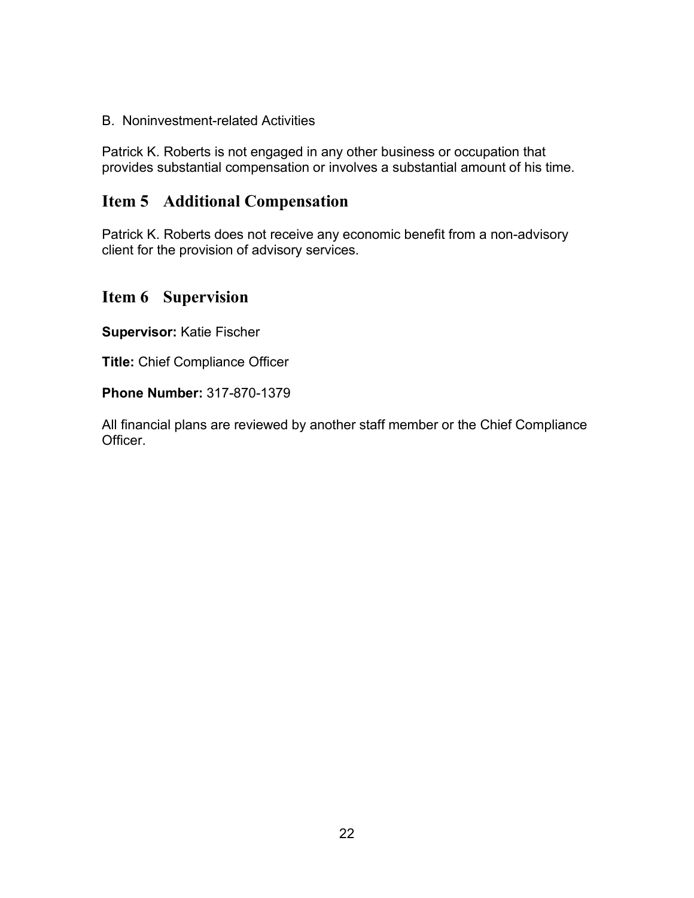B. Noninvestment-related Activities

Patrick K. Roberts is not engaged in any other business or occupation that provides substantial compensation or involves a substantial amount of his time.

### **Item 5 Additional Compensation**

Patrick K. Roberts does not receive any economic benefit from a non-advisory client for the provision of advisory services.

### **Item 6 Supervision**

**Supervisor:** Katie Fischer

**Title:** Chief Compliance Officer

**Phone Number:** 317-870-1379

All financial plans are reviewed by another staff member or the Chief Compliance **Officer**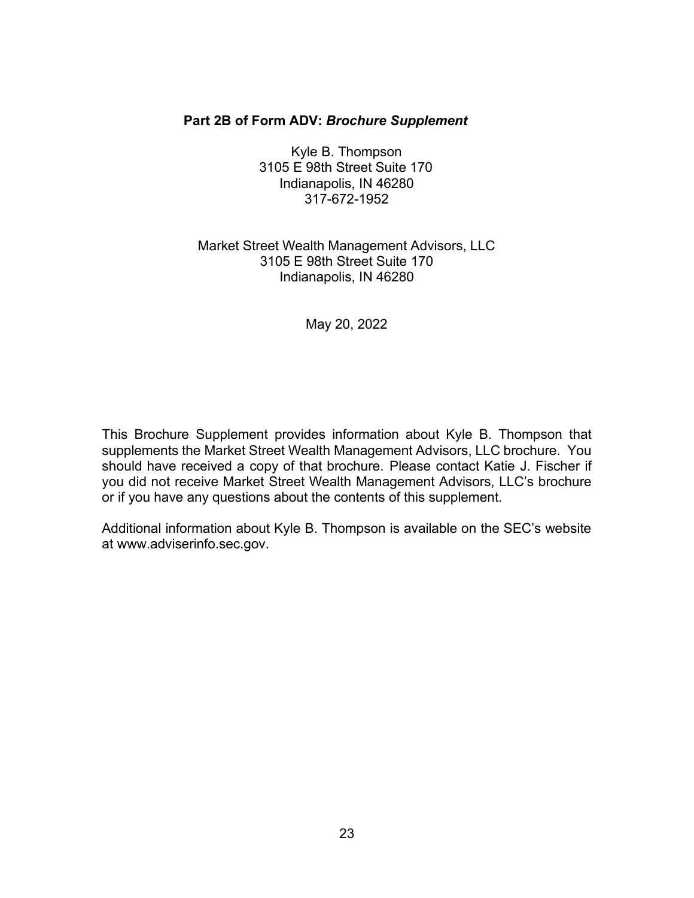#### **Part 2B of Form ADV:** *Brochure Supplement*

Kyle B. Thompson 3105 E 98th Street Suite 170 Indianapolis, IN 46280 317-672-1952

### Market Street Wealth Management Advisors, LLC 3105 E 98th Street Suite 170 Indianapolis, IN 46280

May 20, 2022

This Brochure Supplement provides information about Kyle B. Thompson that supplements the Market Street Wealth Management Advisors, LLC brochure. You should have received a copy of that brochure. Please contact Katie J. Fischer if you did not receive Market Street Wealth Management Advisors, LLC's brochure or if you have any questions about the contents of this supplement.

Additional information about Kyle B. Thompson is available on the SEC's website at [www.adviserinfo.sec.gov.](http://www.adviserinfo.sec.gov/)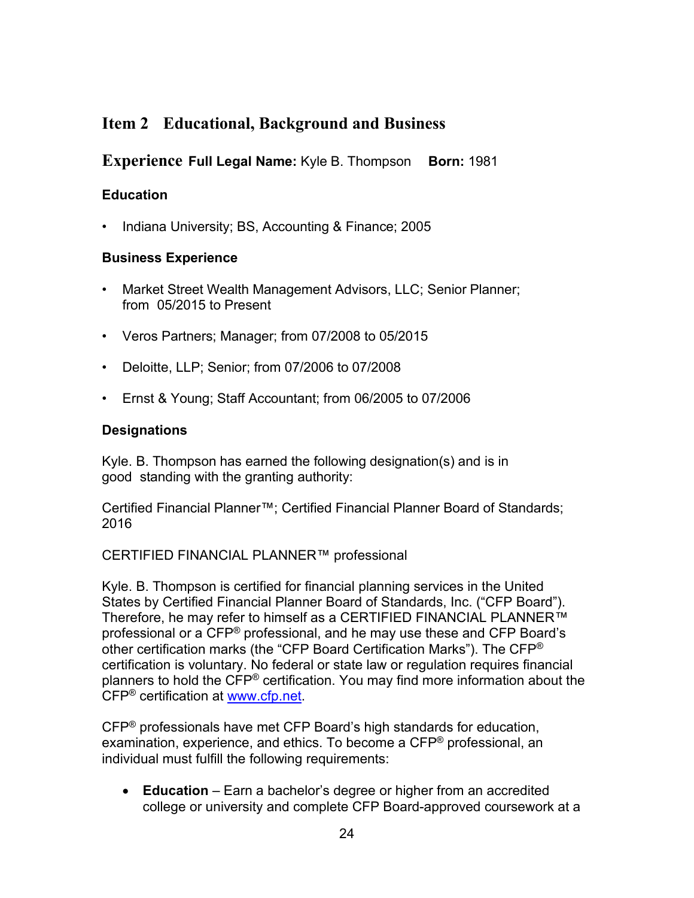# **Item 2 Educational, Background and Business**

**Experience Full Legal Name:** Kyle B. Thompson **Born:** 1981

### **Education**

• Indiana University; BS, Accounting & Finance; 2005

### **Business Experience**

- Market Street Wealth Management Advisors, LLC; Senior Planner; from 05/2015 to Present
- Veros Partners; Manager; from 07/2008 to 05/2015
- Deloitte, LLP; Senior; from 07/2006 to 07/2008
- Ernst & Young; Staff Accountant; from 06/2005 to 07/2006

### **Designations**

Kyle. B. Thompson has earned the following designation(s) and is in good standing with the granting authority:

Certified Financial Planner™; Certified Financial Planner Board of Standards; 2016

CERTIFIED FINANCIAL PLANNER™ professional

Kyle. B. Thompson is certified for financial planning services in the United States by Certified Financial Planner Board of Standards, Inc. ("CFP Board"). Therefore, he may refer to himself as a CERTIFIED FINANCIAL PLANNER™ professional or a CFP® professional, and he may use these and CFP Board's other certification marks (the "CFP Board Certification Marks"). The CFP® certification is voluntary. No federal or state law or regulation requires financial planners to hold the CFP® certification. You may find more information about the CFP® certification at [www.cfp.net.](https://protect-us.mimecast.com/s/1HBOCqxoRqf1V6k3tXIH3k?domain=nam04.safelinks.protection.outlook.com)

CFP® professionals have met CFP Board's high standards for education, examination, experience, and ethics. To become a CFP® professional, an individual must fulfill the following requirements:

• **Education** – Earn a bachelor's degree or higher from an accredited college or university and complete CFP Board-approved coursework at a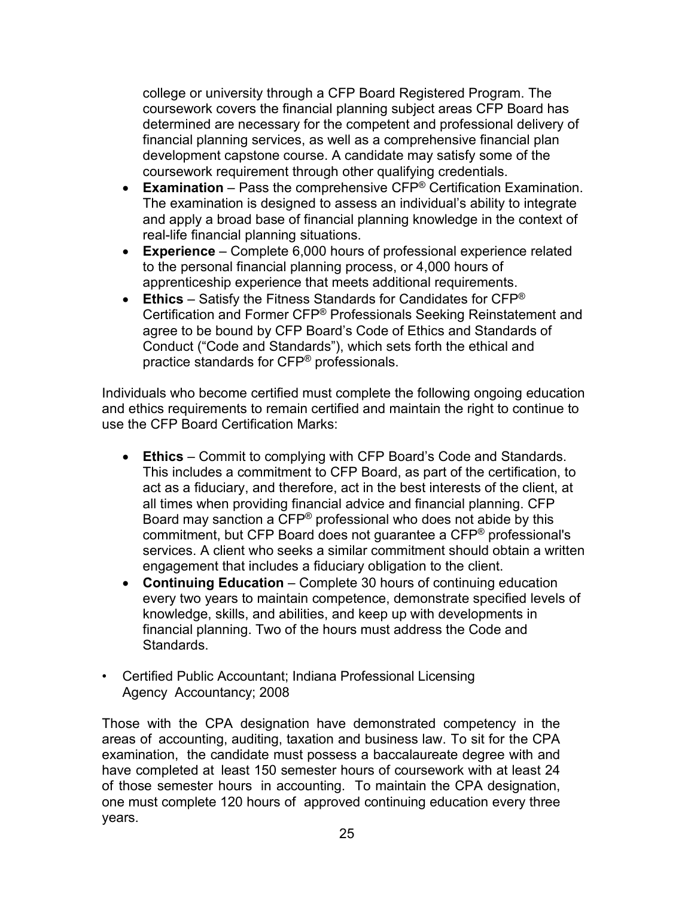college or university through a CFP Board Registered Program. The coursework covers the financial planning subject areas CFP Board has determined are necessary for the competent and professional delivery of financial planning services, as well as a comprehensive financial plan development capstone course. A candidate may satisfy some of the coursework requirement through other qualifying credentials.

- **Examination** Pass the comprehensive CFP® Certification Examination. The examination is designed to assess an individual's ability to integrate and apply a broad base of financial planning knowledge in the context of real-life financial planning situations.
- **Experience**  Complete 6,000 hours of professional experience related to the personal financial planning process, or 4,000 hours of apprenticeship experience that meets additional requirements.
- **Ethics** Satisfy the Fitness Standards for Candidates for CFP® Certification and Former CFP® Professionals Seeking Reinstatement and agree to be bound by CFP Board's Code of Ethics and Standards of Conduct ("Code and Standards"), which sets forth the ethical and practice standards for CFP® professionals.

Individuals who become certified must complete the following ongoing education and ethics requirements to remain certified and maintain the right to continue to use the CFP Board Certification Marks:

- **Ethics** Commit to complying with CFP Board's Code and Standards. This includes a commitment to CFP Board, as part of the certification, to act as a fiduciary, and therefore, act in the best interests of the client, at all times when providing financial advice and financial planning. CFP Board may sanction a CFP® professional who does not abide by this commitment, but CFP Board does not guarantee a CFP® professional's services. A client who seeks a similar commitment should obtain a written engagement that includes a fiduciary obligation to the client.
- **Continuing Education** Complete 30 hours of continuing education every two years to maintain competence, demonstrate specified levels of knowledge, skills, and abilities, and keep up with developments in financial planning. Two of the hours must address the Code and Standards.
- Certified Public Accountant; Indiana Professional Licensing Agency Accountancy; 2008

Those with the CPA designation have demonstrated competency in the areas of accounting, auditing, taxation and business law. To sit for the CPA examination, the candidate must possess a baccalaureate degree with and have completed at least 150 semester hours of coursework with at least 24 of those semester hours in accounting. To maintain the CPA designation, one must complete 120 hours of approved continuing education every three years.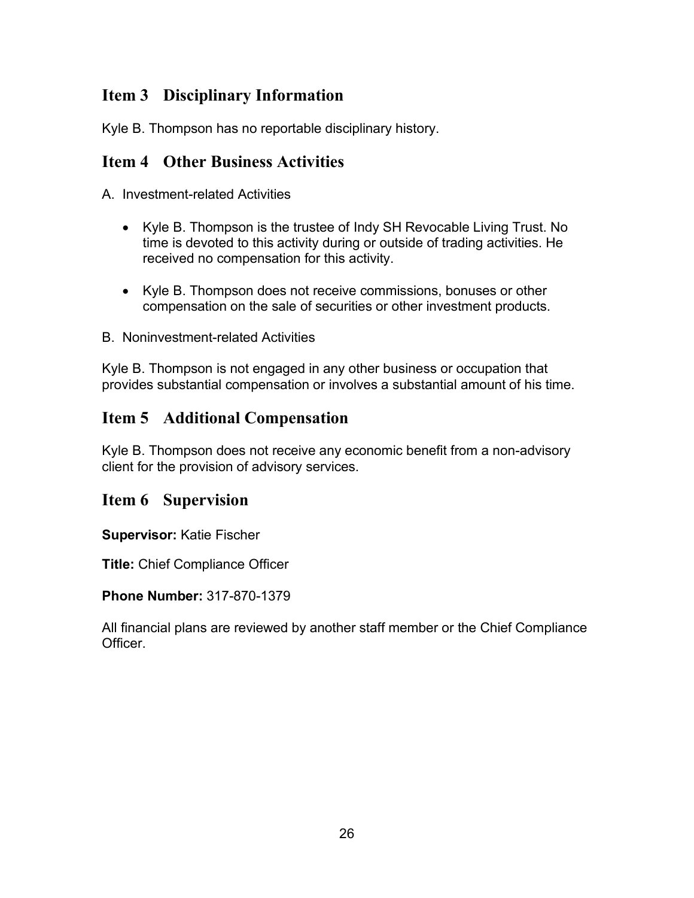# **Item 3 Disciplinary Information**

Kyle B. Thompson has no reportable disciplinary history.

### **Item 4 Other Business Activities**

A. Investment-related Activities

- Kyle B. Thompson is the trustee of Indy SH Revocable Living Trust. No time is devoted to this activity during or outside of trading activities. He received no compensation for this activity.
- Kyle B. Thompson does not receive commissions, bonuses or other compensation on the sale of securities or other investment products.
- B. Noninvestment-related Activities

Kyle B. Thompson is not engaged in any other business or occupation that provides substantial compensation or involves a substantial amount of his time.

### **Item 5 Additional Compensation**

Kyle B. Thompson does not receive any economic benefit from a non-advisory client for the provision of advisory services.

### **Item 6 Supervision**

**Supervisor:** Katie Fischer

**Title:** Chief Compliance Officer

**Phone Number:** 317-870-1379

All financial plans are reviewed by another staff member or the Chief Compliance Officer.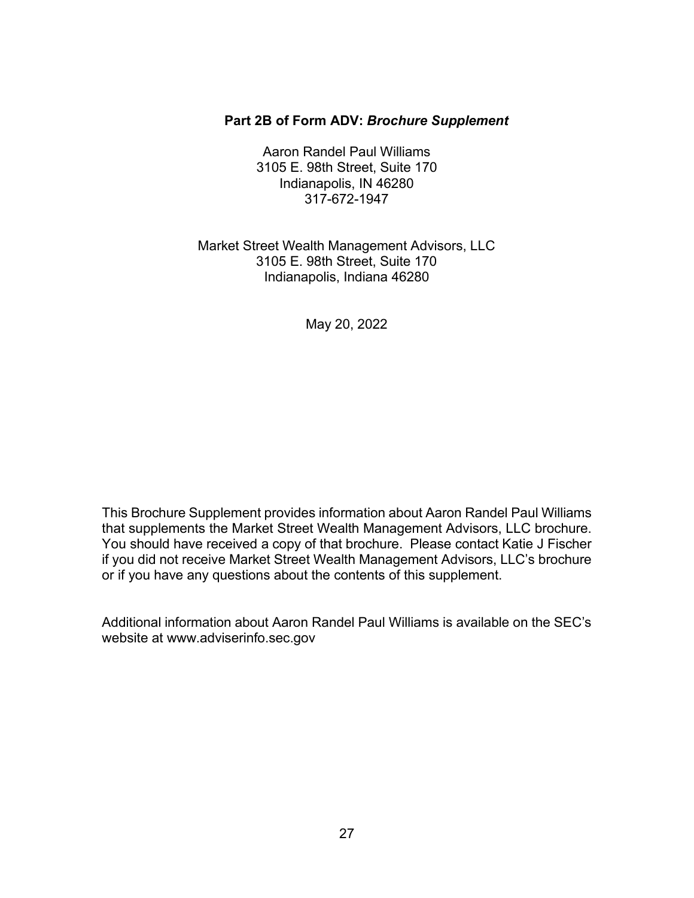#### **Part 2B of Form ADV:** *Brochure Supplement*

Aaron Randel Paul Williams 3105 E. 98th Street, Suite 170 Indianapolis, IN 46280 317-672-1947

Market Street Wealth Management Advisors, LLC 3105 E. 98th Street, Suite 170 Indianapolis, Indiana 46280

May 20, 2022

This Brochure Supplement provides information about Aaron Randel Paul Williams that supplements the Market Street Wealth Management Advisors, LLC brochure. You should have received a copy of that brochure. Please contact Katie J Fischer if you did not receive Market Street Wealth Management Advisors, LLC's brochure or if you have any questions about the contents of this supplement.

Additional information about Aaron Randel Paul Williams is available on the SEC's website [at www.adviserinfo.sec.gov](http://www.adviserinfo.sec.gov/)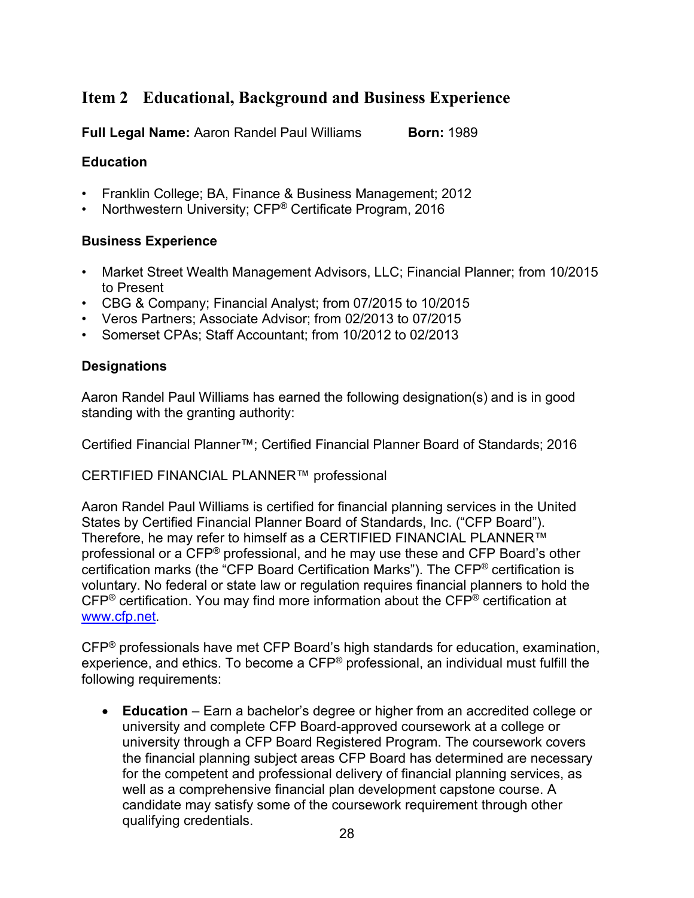# **Item 2 Educational, Background and Business Experience**

**Full Legal Name:** Aaron Randel Paul Williams **Born: 1989** 

### **Education**

- Franklin College; BA, Finance & Business Management; 2012
- Northwestern University; CFP® Certificate Program, 2016

### **Business Experience**

- Market Street Wealth Management Advisors, LLC; Financial Planner; from 10/2015 to Present
- CBG & Company; Financial Analyst; from 07/2015 to 10/2015
- Veros Partners; Associate Advisor; from 02/2013 to 07/2015
- Somerset CPAs; Staff Accountant; from 10/2012 to 02/2013

### **Designations**

Aaron Randel Paul Williams has earned the following designation(s) and is in good standing with the granting authority:

Certified Financial Planner™; Certified Financial Planner Board of Standards; 2016

CERTIFIED FINANCIAL PLANNER™ professional

Aaron Randel Paul Williams is certified for financial planning services in the United States by Certified Financial Planner Board of Standards, Inc. ("CFP Board"). Therefore, he may refer to himself as a CERTIFIED FINANCIAL PLANNER™ professional or a CFP® professional, and he may use these and CFP Board's other certification marks (the "CFP Board Certification Marks"). The CFP® certification is voluntary. No federal or state law or regulation requires financial planners to hold the CFP® certification. You may find more information about the CFP® certification at [www.cfp.net.](https://protect-us.mimecast.com/s/1HBOCqxoRqf1V6k3tXIH3k?domain=nam04.safelinks.protection.outlook.com)

CFP® professionals have met CFP Board's high standards for education, examination, experience, and ethics. To become a CFP® professional, an individual must fulfill the following requirements:

• **Education** – Earn a bachelor's degree or higher from an accredited college or university and complete CFP Board-approved coursework at a college or university through a CFP Board Registered Program. The coursework covers the financial planning subject areas CFP Board has determined are necessary for the competent and professional delivery of financial planning services, as well as a comprehensive financial plan development capstone course. A candidate may satisfy some of the coursework requirement through other qualifying credentials.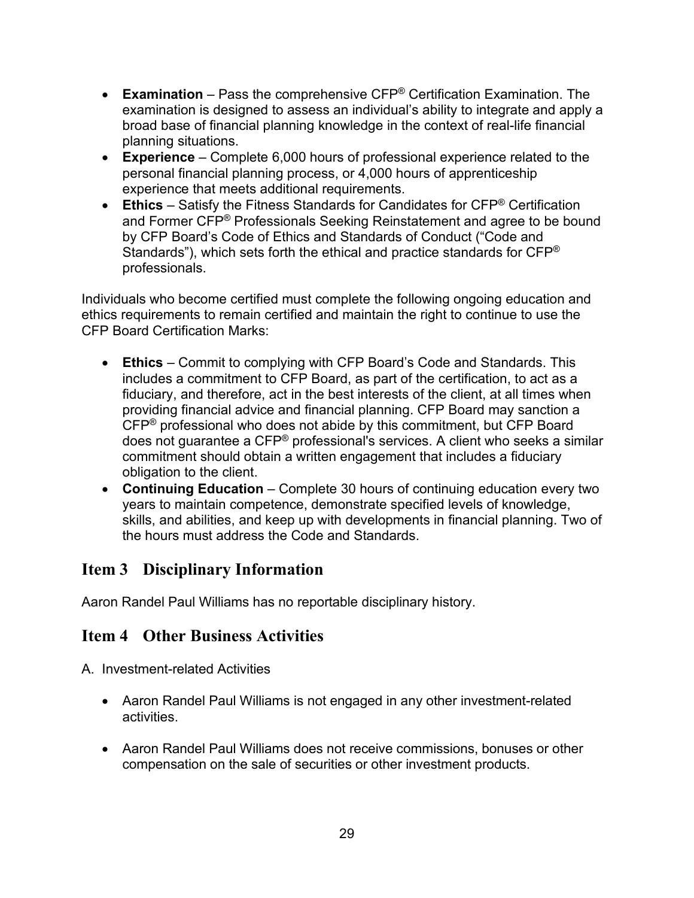- **Examination** Pass the comprehensive CFP® Certification Examination. The examination is designed to assess an individual's ability to integrate and apply a broad base of financial planning knowledge in the context of real-life financial planning situations.
- **Experience**  Complete 6,000 hours of professional experience related to the personal financial planning process, or 4,000 hours of apprenticeship experience that meets additional requirements.
- **Ethics** Satisfy the Fitness Standards for Candidates for CFP® Certification and Former CFP® Professionals Seeking Reinstatement and agree to be bound by CFP Board's Code of Ethics and Standards of Conduct ("Code and Standards"), which sets forth the ethical and practice standards for CFP® professionals.

Individuals who become certified must complete the following ongoing education and ethics requirements to remain certified and maintain the right to continue to use the CFP Board Certification Marks:

- **Ethics** Commit to complying with CFP Board's Code and Standards. This includes a commitment to CFP Board, as part of the certification, to act as a fiduciary, and therefore, act in the best interests of the client, at all times when providing financial advice and financial planning. CFP Board may sanction a CFP® professional who does not abide by this commitment, but CFP Board does not guarantee a CFP® professional's services. A client who seeks a similar commitment should obtain a written engagement that includes a fiduciary obligation to the client.
- **Continuing Education** Complete 30 hours of continuing education every two years to maintain competence, demonstrate specified levels of knowledge, skills, and abilities, and keep up with developments in financial planning. Two of the hours must address the Code and Standards.

# **Item 3 Disciplinary Information**

Aaron Randel Paul Williams has no reportable disciplinary history.

### **Item 4 Other Business Activities**

A. Investment-related Activities

- Aaron Randel Paul Williams is not engaged in any other investment-related activities.
- Aaron Randel Paul Williams does not receive commissions, bonuses or other compensation on the sale of securities or other investment products.